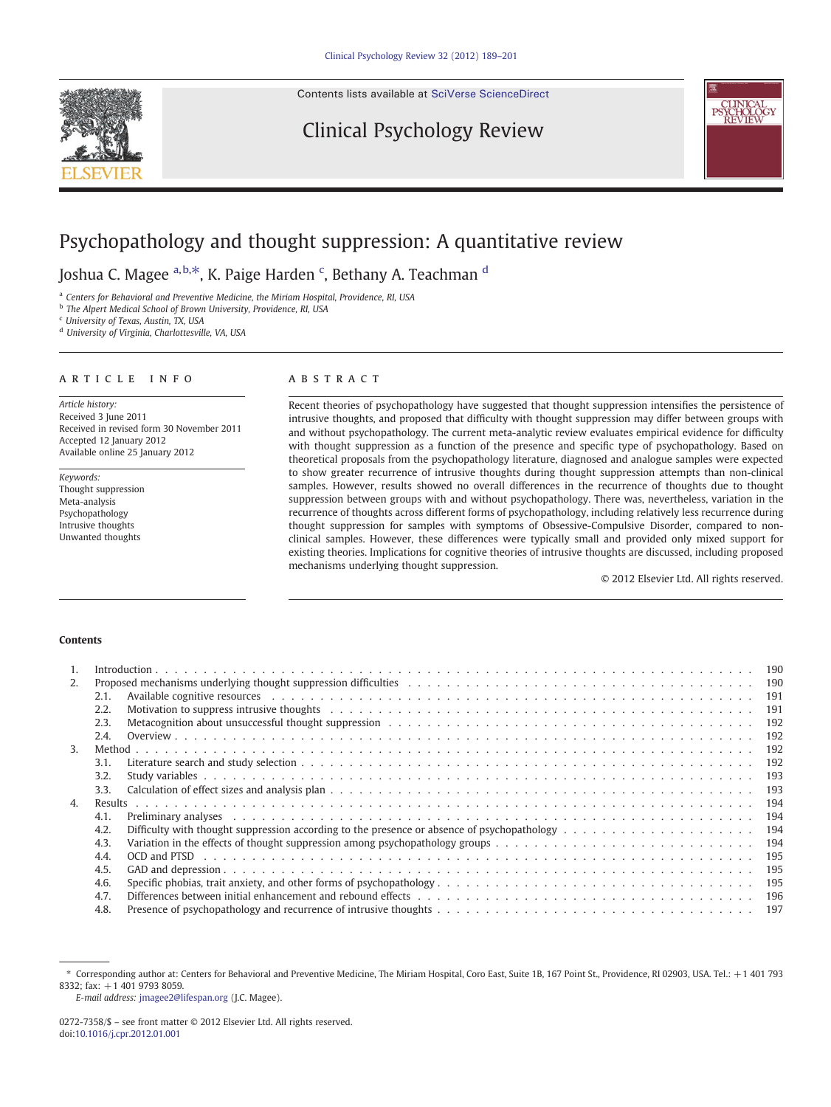Contents lists available at [SciVerse ScienceDirect](http://www.sciencedirect.com/science/journal/02727358)

# Clinical Psychology Review



# Psychopathology and thought suppression: A quantitative review

Joshua C. Magee <sup>a,b,\*</sup>, K. Paige Harden <sup>c</sup>, Bethany A. Teachman <sup>d</sup>

<sup>a</sup> Centers for Behavioral and Preventive Medicine, the Miriam Hospital, Providence, RI, USA

b The Alpert Medical School of Brown University, Providence, RI, USA

<sup>c</sup> University of Texas, Austin, TX, USA

<sup>d</sup> University of Virginia, Charlottesville, VA, USA

# article info abstract

Article history: Received 3 June 2011 Received in revised form 30 November 2011 Accepted 12 January 2012 Available online 25 January 2012

Keywords: Thought suppression Meta-analysis Psychopathology Intrusive thoughts Unwanted thoughts

Recent theories of psychopathology have suggested that thought suppression intensifies the persistence of intrusive thoughts, and proposed that difficulty with thought suppression may differ between groups with and without psychopathology. The current meta-analytic review evaluates empirical evidence for difficulty with thought suppression as a function of the presence and specific type of psychopathology. Based on theoretical proposals from the psychopathology literature, diagnosed and analogue samples were expected to show greater recurrence of intrusive thoughts during thought suppression attempts than non-clinical samples. However, results showed no overall differences in the recurrence of thoughts due to thought suppression between groups with and without psychopathology. There was, nevertheless, variation in the recurrence of thoughts across different forms of psychopathology, including relatively less recurrence during thought suppression for samples with symptoms of Obsessive-Compulsive Disorder, compared to nonclinical samples. However, these differences were typically small and provided only mixed support for existing theories. Implications for cognitive theories of intrusive thoughts are discussed, including proposed mechanisms underlying thought suppression.

© 2012 Elsevier Ltd. All rights reserved.

# Contents

| 1.               |      |                                                                                                                                                                                                                                |       |
|------------------|------|--------------------------------------------------------------------------------------------------------------------------------------------------------------------------------------------------------------------------------|-------|
| 2.               |      |                                                                                                                                                                                                                                |       |
|                  | 2.1. | Available cognitive resources (a), and a contract of the contract of the contract of the contract of the cognitive resources (a), and a contract of the contract of the contract of the contract of the contract of the contra | 191   |
|                  | 2.2. | Motivation to suppress intrusive thoughts extended by extended by extended by extended by the set of the suppress intrusive thoughts extended by extended by extending to the set of the set of the set of the set of the set  | 191   |
|                  | 2.3. |                                                                                                                                                                                                                                | 192   |
|                  | 2.4. |                                                                                                                                                                                                                                | 192   |
| $\overline{3}$ . |      |                                                                                                                                                                                                                                | 192   |
|                  | 3.1. |                                                                                                                                                                                                                                | 192   |
|                  | 3.2. |                                                                                                                                                                                                                                | 193   |
|                  | 3.3. |                                                                                                                                                                                                                                | 193   |
| 4.               |      |                                                                                                                                                                                                                                | 194   |
|                  | 4.1. |                                                                                                                                                                                                                                | 194   |
|                  | 4.2. |                                                                                                                                                                                                                                | 194   |
|                  | 4.3. |                                                                                                                                                                                                                                | 194   |
|                  | 4.4. |                                                                                                                                                                                                                                | 195   |
|                  | 4.5. |                                                                                                                                                                                                                                | 195   |
|                  | 4.6. |                                                                                                                                                                                                                                | - 195 |
|                  | 4.7. |                                                                                                                                                                                                                                |       |
|                  | 4.8. |                                                                                                                                                                                                                                | - 197 |

E-mail address: [jmagee2@lifespan.org](mailto:jmagee2@lifespan.org) (J.C. Magee).



<sup>⁎</sup> Corresponding author at: Centers for Behavioral and Preventive Medicine, The Miriam Hospital, Coro East, Suite 1B, 167 Point St., Providence, RI 02903, USA. Tel.: +1 401 793 8332; fax: +1 401 9793 8059.

<sup>0272-7358/\$</sup> – see front matter © 2012 Elsevier Ltd. All rights reserved. doi:[10.1016/j.cpr.2012.01.001](http://dx.doi.org/10.1016/j.cpr.2012.01.001)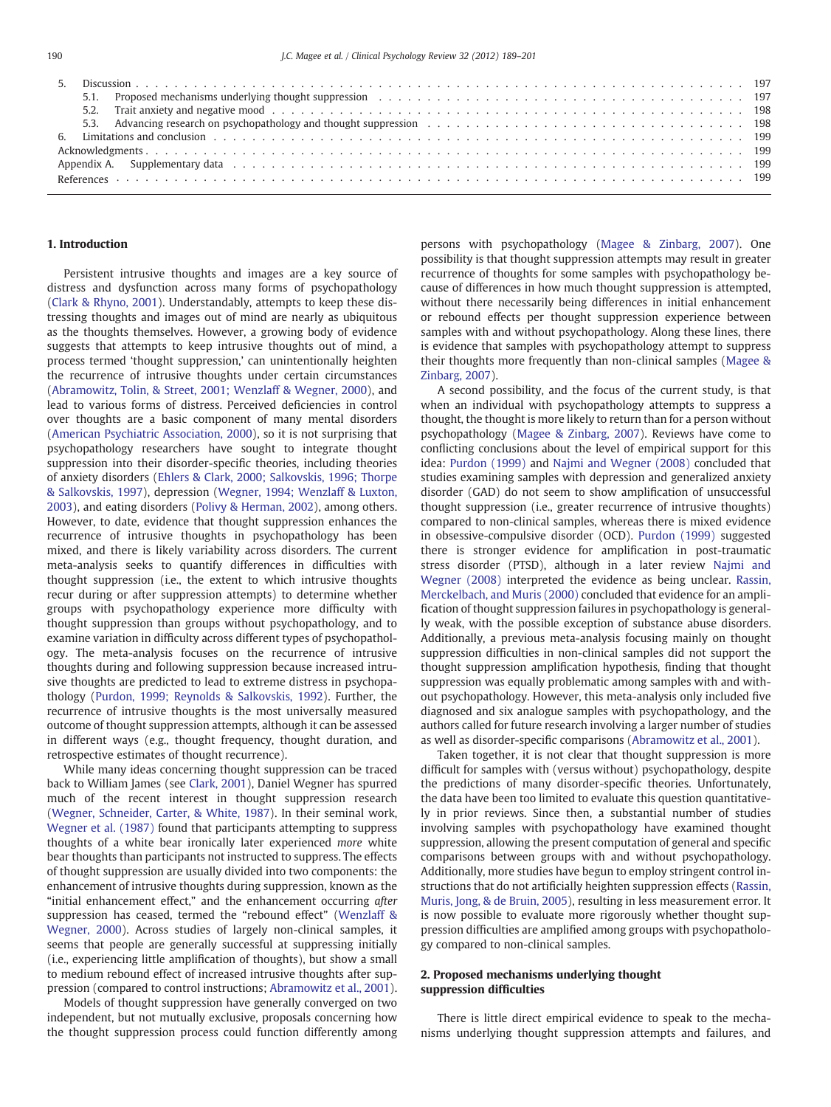|  | 5.1. Proposed mechanisms underlying thought suppression enters and such a series of the series of the series of the series of the series of the series of the series of the series of the series of the series of the series o |  |
|--|--------------------------------------------------------------------------------------------------------------------------------------------------------------------------------------------------------------------------------|--|
|  |                                                                                                                                                                                                                                |  |
|  |                                                                                                                                                                                                                                |  |
|  |                                                                                                                                                                                                                                |  |
|  |                                                                                                                                                                                                                                |  |
|  |                                                                                                                                                                                                                                |  |
|  |                                                                                                                                                                                                                                |  |
|  |                                                                                                                                                                                                                                |  |

# 1. Introduction

Persistent intrusive thoughts and images are a key source of distress and dysfunction across many forms of psychopathology [\(Clark & Rhyno, 2001](#page-11-0)). Understandably, attempts to keep these distressing thoughts and images out of mind are nearly as ubiquitous as the thoughts themselves. However, a growing body of evidence suggests that attempts to keep intrusive thoughts out of mind, a process termed 'thought suppression,' can unintentionally heighten the recurrence of intrusive thoughts under certain circumstances [\(Abramowitz, Tolin, & Street, 2001; Wenzlaff & Wegner, 2000](#page-10-0)), and lead to various forms of distress. Perceived deficiencies in control over thoughts are a basic component of many mental disorders [\(American Psychiatric Association, 2000\)](#page-10-0), so it is not surprising that psychopathology researchers have sought to integrate thought suppression into their disorder-specific theories, including theories of anxiety disorders [\(Ehlers & Clark, 2000; Salkovskis, 1996; Thorpe](#page-11-0) [& Salkovskis, 1997](#page-11-0)), depression [\(Wegner, 1994; Wenzlaff & Luxton,](#page-12-0) [2003\)](#page-12-0), and eating disorders [\(Polivy & Herman, 2002\)](#page-11-0), among others. However, to date, evidence that thought suppression enhances the recurrence of intrusive thoughts in psychopathology has been mixed, and there is likely variability across disorders. The current meta-analysis seeks to quantify differences in difficulties with thought suppression (i.e., the extent to which intrusive thoughts recur during or after suppression attempts) to determine whether groups with psychopathology experience more difficulty with thought suppression than groups without psychopathology, and to examine variation in difficulty across different types of psychopathology. The meta-analysis focuses on the recurrence of intrusive thoughts during and following suppression because increased intrusive thoughts are predicted to lead to extreme distress in psychopathology [\(Purdon, 1999; Reynolds & Salkovskis, 1992\)](#page-11-0). Further, the recurrence of intrusive thoughts is the most universally measured outcome of thought suppression attempts, although it can be assessed in different ways (e.g., thought frequency, thought duration, and retrospective estimates of thought recurrence).

While many ideas concerning thought suppression can be traced back to William James (see [Clark, 2001\)](#page-11-0), Daniel Wegner has spurred much of the recent interest in thought suppression research [\(Wegner, Schneider, Carter, & White, 1987](#page-12-0)). In their seminal work, [Wegner et al. \(1987\)](#page-12-0) found that participants attempting to suppress thoughts of a white bear ironically later experienced more white bear thoughts than participants not instructed to suppress. The effects of thought suppression are usually divided into two components: the enhancement of intrusive thoughts during suppression, known as the "initial enhancement effect," and the enhancement occurring after suppression has ceased, termed the "rebound effect" ([Wenzlaff &](#page-12-0) [Wegner, 2000](#page-12-0)). Across studies of largely non-clinical samples, it seems that people are generally successful at suppressing initially (i.e., experiencing little amplification of thoughts), but show a small to medium rebound effect of increased intrusive thoughts after suppression (compared to control instructions; [Abramowitz et al., 2001](#page-10-0)).

Models of thought suppression have generally converged on two independent, but not mutually exclusive, proposals concerning how the thought suppression process could function differently among persons with psychopathology ([Magee & Zinbarg, 2007\)](#page-11-0). One possibility is that thought suppression attempts may result in greater recurrence of thoughts for some samples with psychopathology because of differences in how much thought suppression is attempted, without there necessarily being differences in initial enhancement or rebound effects per thought suppression experience between samples with and without psychopathology. Along these lines, there is evidence that samples with psychopathology attempt to suppress their thoughts more frequently than non-clinical samples [\(Magee &](#page-11-0) [Zinbarg, 2007\)](#page-11-0).

A second possibility, and the focus of the current study, is that when an individual with psychopathology attempts to suppress a thought, the thought is more likely to return than for a person without psychopathology ([Magee & Zinbarg, 2007\)](#page-11-0). Reviews have come to conflicting conclusions about the level of empirical support for this idea: [Purdon \(1999\)](#page-11-0) and [Najmi and Wegner \(2008\)](#page-11-0) concluded that studies examining samples with depression and generalized anxiety disorder (GAD) do not seem to show amplification of unsuccessful thought suppression (i.e., greater recurrence of intrusive thoughts) compared to non-clinical samples, whereas there is mixed evidence in obsessive-compulsive disorder (OCD). [Purdon \(1999\)](#page-11-0) suggested there is stronger evidence for amplification in post-traumatic stress disorder (PTSD), although in a later review [Najmi and](#page-11-0) [Wegner \(2008\)](#page-11-0) interpreted the evidence as being unclear. [Rassin,](#page-11-0) [Merckelbach, and Muris \(2000\)](#page-11-0) concluded that evidence for an amplification of thought suppression failures in psychopathology is generally weak, with the possible exception of substance abuse disorders. Additionally, a previous meta-analysis focusing mainly on thought suppression difficulties in non-clinical samples did not support the thought suppression amplification hypothesis, finding that thought suppression was equally problematic among samples with and without psychopathology. However, this meta-analysis only included five diagnosed and six analogue samples with psychopathology, and the authors called for future research involving a larger number of studies as well as disorder-specific comparisons [\(Abramowitz et al., 2001\)](#page-10-0).

Taken together, it is not clear that thought suppression is more difficult for samples with (versus without) psychopathology, despite the predictions of many disorder-specific theories. Unfortunately, the data have been too limited to evaluate this question quantitatively in prior reviews. Since then, a substantial number of studies involving samples with psychopathology have examined thought suppression, allowing the present computation of general and specific comparisons between groups with and without psychopathology. Additionally, more studies have begun to employ stringent control instructions that do not artificially heighten suppression effects ([Rassin,](#page-11-0) [Muris, Jong, & de Bruin, 2005\)](#page-11-0), resulting in less measurement error. It is now possible to evaluate more rigorously whether thought suppression difficulties are amplified among groups with psychopathology compared to non-clinical samples.

# 2. Proposed mechanisms underlying thought suppression difficulties

There is little direct empirical evidence to speak to the mechanisms underlying thought suppression attempts and failures, and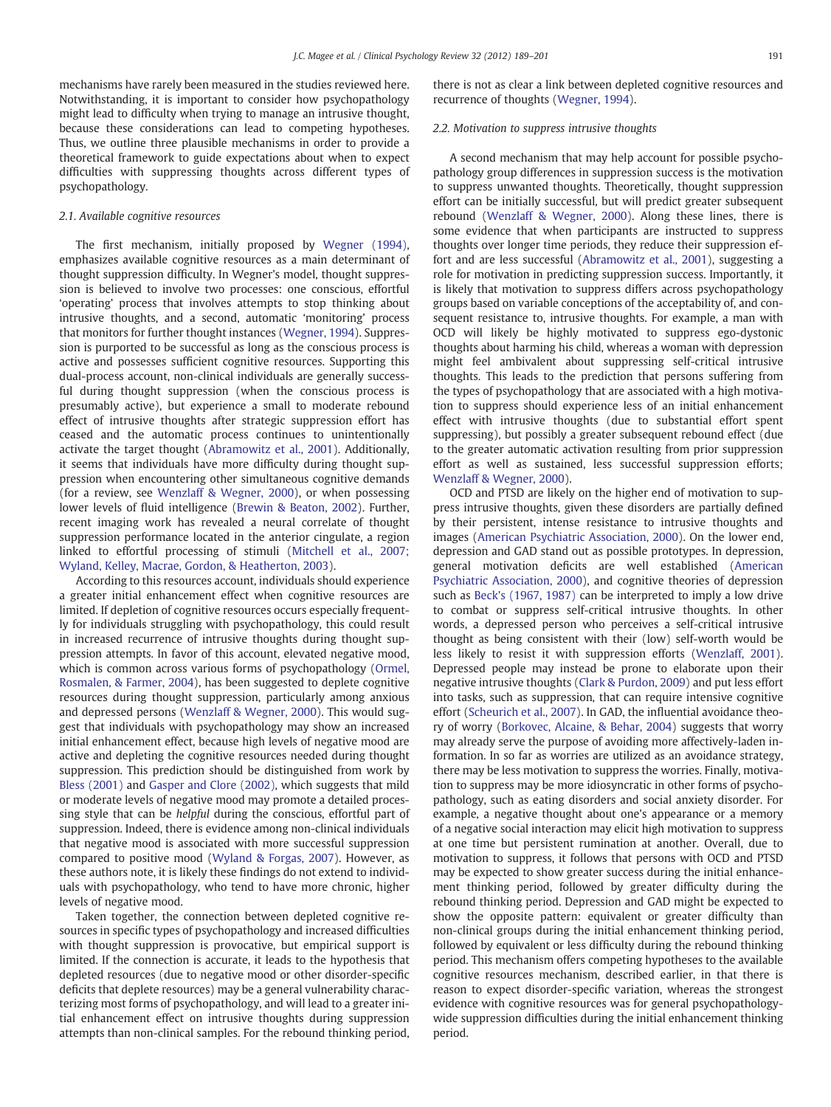mechanisms have rarely been measured in the studies reviewed here. Notwithstanding, it is important to consider how psychopathology might lead to difficulty when trying to manage an intrusive thought, because these considerations can lead to competing hypotheses. Thus, we outline three plausible mechanisms in order to provide a theoretical framework to guide expectations about when to expect difficulties with suppressing thoughts across different types of psychopathology.

#### 2.1. Available cognitive resources

The first mechanism, initially proposed by [Wegner \(1994\),](#page-12-0) emphasizes available cognitive resources as a main determinant of thought suppression difficulty. In Wegner's model, thought suppression is believed to involve two processes: one conscious, effortful 'operating' process that involves attempts to stop thinking about intrusive thoughts, and a second, automatic 'monitoring' process that monitors for further thought instances [\(Wegner, 1994](#page-12-0)). Suppression is purported to be successful as long as the conscious process is active and possesses sufficient cognitive resources. Supporting this dual-process account, non-clinical individuals are generally successful during thought suppression (when the conscious process is presumably active), but experience a small to moderate rebound effect of intrusive thoughts after strategic suppression effort has ceased and the automatic process continues to unintentionally activate the target thought [\(Abramowitz et al., 2001\)](#page-10-0). Additionally, it seems that individuals have more difficulty during thought suppression when encountering other simultaneous cognitive demands (for a review, see [Wenzlaff & Wegner, 2000\)](#page-12-0), or when possessing lower levels of fluid intelligence ([Brewin & Beaton, 2002](#page-11-0)). Further, recent imaging work has revealed a neural correlate of thought suppression performance located in the anterior cingulate, a region linked to effortful processing of stimuli [\(Mitchell et al., 2007;](#page-11-0) [Wyland, Kelley, Macrae, Gordon, & Heatherton, 2003\)](#page-11-0).

According to this resources account, individuals should experience a greater initial enhancement effect when cognitive resources are limited. If depletion of cognitive resources occurs especially frequently for individuals struggling with psychopathology, this could result in increased recurrence of intrusive thoughts during thought suppression attempts. In favor of this account, elevated negative mood, which is common across various forms of psychopathology [\(Ormel,](#page-11-0) [Rosmalen, & Farmer, 2004\)](#page-11-0), has been suggested to deplete cognitive resources during thought suppression, particularly among anxious and depressed persons [\(Wenzlaff & Wegner, 2000\)](#page-12-0). This would suggest that individuals with psychopathology may show an increased initial enhancement effect, because high levels of negative mood are active and depleting the cognitive resources needed during thought suppression. This prediction should be distinguished from work by [Bless \(2001\)](#page-11-0) and [Gasper and Clore \(2002\)](#page-11-0), which suggests that mild or moderate levels of negative mood may promote a detailed processing style that can be helpful during the conscious, effortful part of suppression. Indeed, there is evidence among non-clinical individuals that negative mood is associated with more successful suppression compared to positive mood [\(Wyland & Forgas, 2007](#page-12-0)). However, as these authors note, it is likely these findings do not extend to individuals with psychopathology, who tend to have more chronic, higher levels of negative mood.

Taken together, the connection between depleted cognitive resources in specific types of psychopathology and increased difficulties with thought suppression is provocative, but empirical support is limited. If the connection is accurate, it leads to the hypothesis that depleted resources (due to negative mood or other disorder-specific deficits that deplete resources) may be a general vulnerability characterizing most forms of psychopathology, and will lead to a greater initial enhancement effect on intrusive thoughts during suppression attempts than non-clinical samples. For the rebound thinking period, there is not as clear a link between depleted cognitive resources and recurrence of thoughts ([Wegner, 1994](#page-12-0)).

# 2.2. Motivation to suppress intrusive thoughts

A second mechanism that may help account for possible psychopathology group differences in suppression success is the motivation to suppress unwanted thoughts. Theoretically, thought suppression effort can be initially successful, but will predict greater subsequent rebound [\(Wenzlaff & Wegner, 2000\)](#page-12-0). Along these lines, there is some evidence that when participants are instructed to suppress thoughts over longer time periods, they reduce their suppression effort and are less successful ([Abramowitz et al., 2001](#page-10-0)), suggesting a role for motivation in predicting suppression success. Importantly, it is likely that motivation to suppress differs across psychopathology groups based on variable conceptions of the acceptability of, and consequent resistance to, intrusive thoughts. For example, a man with OCD will likely be highly motivated to suppress ego-dystonic thoughts about harming his child, whereas a woman with depression might feel ambivalent about suppressing self-critical intrusive thoughts. This leads to the prediction that persons suffering from the types of psychopathology that are associated with a high motivation to suppress should experience less of an initial enhancement effect with intrusive thoughts (due to substantial effort spent suppressing), but possibly a greater subsequent rebound effect (due to the greater automatic activation resulting from prior suppression effort as well as sustained, less successful suppression efforts; [Wenzlaff & Wegner, 2000\)](#page-12-0).

OCD and PTSD are likely on the higher end of motivation to suppress intrusive thoughts, given these disorders are partially defined by their persistent, intense resistance to intrusive thoughts and images [\(American Psychiatric Association, 2000](#page-10-0)). On the lower end, depression and GAD stand out as possible prototypes. In depression, general motivation deficits are well established ([American](#page-10-0) [Psychiatric Association, 2000](#page-10-0)), and cognitive theories of depression such as [Beck's \(1967, 1987\)](#page-10-0) can be interpreted to imply a low drive to combat or suppress self-critical intrusive thoughts. In other words, a depressed person who perceives a self-critical intrusive thought as being consistent with their (low) self-worth would be less likely to resist it with suppression efforts [\(Wenzlaff, 2001](#page-12-0)). Depressed people may instead be prone to elaborate upon their negative intrusive thoughts [\(Clark & Purdon, 2009](#page-11-0)) and put less effort into tasks, such as suppression, that can require intensive cognitive effort [\(Scheurich et al., 2007](#page-12-0)). In GAD, the influential avoidance theory of worry ([Borkovec, Alcaine, & Behar, 2004\)](#page-11-0) suggests that worry may already serve the purpose of avoiding more affectively-laden information. In so far as worries are utilized as an avoidance strategy, there may be less motivation to suppress the worries. Finally, motivation to suppress may be more idiosyncratic in other forms of psychopathology, such as eating disorders and social anxiety disorder. For example, a negative thought about one's appearance or a memory of a negative social interaction may elicit high motivation to suppress at one time but persistent rumination at another. Overall, due to motivation to suppress, it follows that persons with OCD and PTSD may be expected to show greater success during the initial enhancement thinking period, followed by greater difficulty during the rebound thinking period. Depression and GAD might be expected to show the opposite pattern: equivalent or greater difficulty than non-clinical groups during the initial enhancement thinking period, followed by equivalent or less difficulty during the rebound thinking period. This mechanism offers competing hypotheses to the available cognitive resources mechanism, described earlier, in that there is reason to expect disorder-specific variation, whereas the strongest evidence with cognitive resources was for general psychopathologywide suppression difficulties during the initial enhancement thinking period.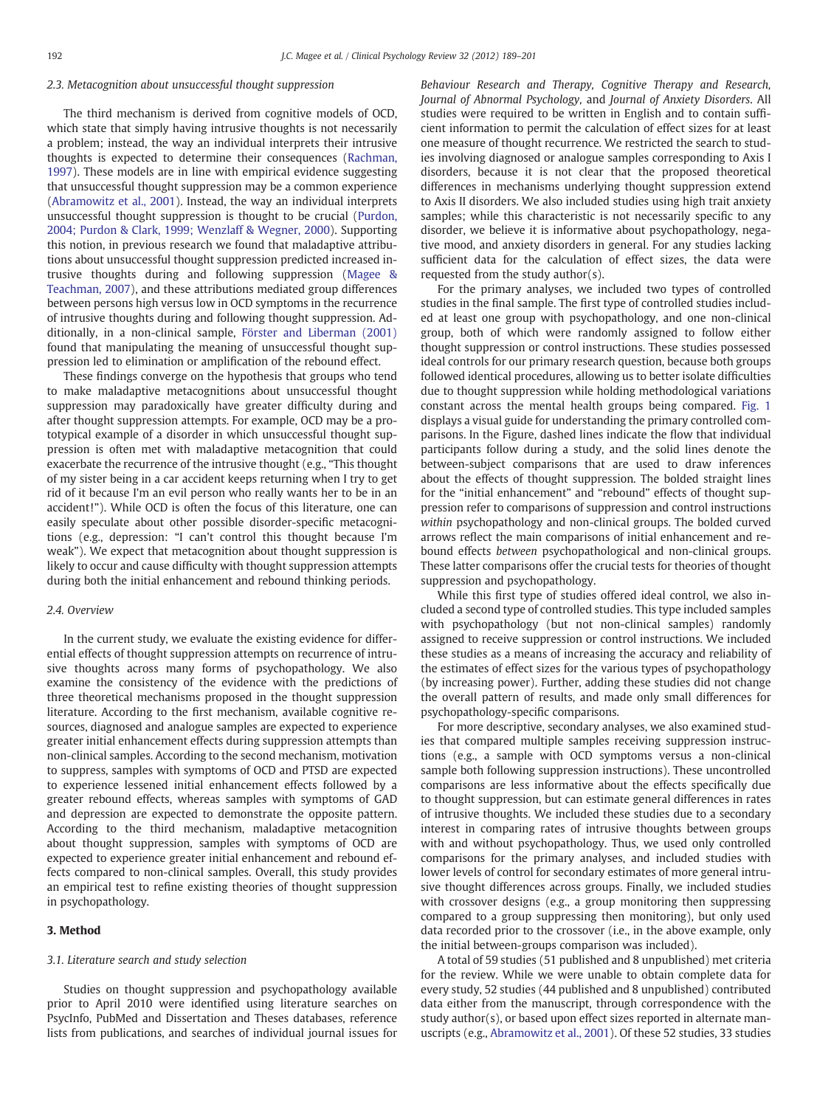# 2.3. Metacognition about unsuccessful thought suppression

The third mechanism is derived from cognitive models of OCD, which state that simply having intrusive thoughts is not necessarily a problem; instead, the way an individual interprets their intrusive thoughts is expected to determine their consequences [\(Rachman,](#page-11-0) [1997\)](#page-11-0). These models are in line with empirical evidence suggesting that unsuccessful thought suppression may be a common experience [\(Abramowitz et al., 2001\)](#page-10-0). Instead, the way an individual interprets unsuccessful thought suppression is thought to be crucial ([Purdon,](#page-11-0) [2004; Purdon & Clark, 1999; Wenzlaff & Wegner, 2000](#page-11-0)). Supporting this notion, in previous research we found that maladaptive attributions about unsuccessful thought suppression predicted increased intrusive thoughts during and following suppression ([Magee &](#page-11-0) [Teachman, 2007](#page-11-0)), and these attributions mediated group differences between persons high versus low in OCD symptoms in the recurrence of intrusive thoughts during and following thought suppression. Additionally, in a non-clinical sample, [Förster and Liberman \(2001\)](#page-11-0) found that manipulating the meaning of unsuccessful thought suppression led to elimination or amplification of the rebound effect.

These findings converge on the hypothesis that groups who tend to make maladaptive metacognitions about unsuccessful thought suppression may paradoxically have greater difficulty during and after thought suppression attempts. For example, OCD may be a prototypical example of a disorder in which unsuccessful thought suppression is often met with maladaptive metacognition that could exacerbate the recurrence of the intrusive thought (e.g., "This thought of my sister being in a car accident keeps returning when I try to get rid of it because I'm an evil person who really wants her to be in an accident!"). While OCD is often the focus of this literature, one can easily speculate about other possible disorder-specific metacognitions (e.g., depression: "I can't control this thought because I'm weak"). We expect that metacognition about thought suppression is likely to occur and cause difficulty with thought suppression attempts during both the initial enhancement and rebound thinking periods.

# 2.4. Overview

In the current study, we evaluate the existing evidence for differential effects of thought suppression attempts on recurrence of intrusive thoughts across many forms of psychopathology. We also examine the consistency of the evidence with the predictions of three theoretical mechanisms proposed in the thought suppression literature. According to the first mechanism, available cognitive resources, diagnosed and analogue samples are expected to experience greater initial enhancement effects during suppression attempts than non-clinical samples. According to the second mechanism, motivation to suppress, samples with symptoms of OCD and PTSD are expected to experience lessened initial enhancement effects followed by a greater rebound effects, whereas samples with symptoms of GAD and depression are expected to demonstrate the opposite pattern. According to the third mechanism, maladaptive metacognition about thought suppression, samples with symptoms of OCD are expected to experience greater initial enhancement and rebound effects compared to non-clinical samples. Overall, this study provides an empirical test to refine existing theories of thought suppression in psychopathology.

# 3. Method

# 3.1. Literature search and study selection

Studies on thought suppression and psychopathology available prior to April 2010 were identified using literature searches on PsycInfo, PubMed and Dissertation and Theses databases, reference lists from publications, and searches of individual journal issues for

Behaviour Research and Therapy, Cognitive Therapy and Research, Journal of Abnormal Psychology, and Journal of Anxiety Disorders. All studies were required to be written in English and to contain sufficient information to permit the calculation of effect sizes for at least one measure of thought recurrence. We restricted the search to studies involving diagnosed or analogue samples corresponding to Axis I disorders, because it is not clear that the proposed theoretical differences in mechanisms underlying thought suppression extend to Axis II disorders. We also included studies using high trait anxiety samples; while this characteristic is not necessarily specific to any disorder, we believe it is informative about psychopathology, negative mood, and anxiety disorders in general. For any studies lacking sufficient data for the calculation of effect sizes, the data were requested from the study author(s).

For the primary analyses, we included two types of controlled studies in the final sample. The first type of controlled studies included at least one group with psychopathology, and one non-clinical group, both of which were randomly assigned to follow either thought suppression or control instructions. These studies possessed ideal controls for our primary research question, because both groups followed identical procedures, allowing us to better isolate difficulties due to thought suppression while holding methodological variations constant across the mental health groups being compared. [Fig. 1](#page-4-0) displays a visual guide for understanding the primary controlled comparisons. In the Figure, dashed lines indicate the flow that individual participants follow during a study, and the solid lines denote the between-subject comparisons that are used to draw inferences about the effects of thought suppression. The bolded straight lines for the "initial enhancement" and "rebound" effects of thought suppression refer to comparisons of suppression and control instructions within psychopathology and non-clinical groups. The bolded curved arrows reflect the main comparisons of initial enhancement and rebound effects between psychopathological and non-clinical groups. These latter comparisons offer the crucial tests for theories of thought suppression and psychopathology.

While this first type of studies offered ideal control, we also included a second type of controlled studies. This type included samples with psychopathology (but not non-clinical samples) randomly assigned to receive suppression or control instructions. We included these studies as a means of increasing the accuracy and reliability of the estimates of effect sizes for the various types of psychopathology (by increasing power). Further, adding these studies did not change the overall pattern of results, and made only small differences for psychopathology-specific comparisons.

For more descriptive, secondary analyses, we also examined studies that compared multiple samples receiving suppression instructions (e.g., a sample with OCD symptoms versus a non-clinical sample both following suppression instructions). These uncontrolled comparisons are less informative about the effects specifically due to thought suppression, but can estimate general differences in rates of intrusive thoughts. We included these studies due to a secondary interest in comparing rates of intrusive thoughts between groups with and without psychopathology. Thus, we used only controlled comparisons for the primary analyses, and included studies with lower levels of control for secondary estimates of more general intrusive thought differences across groups. Finally, we included studies with crossover designs (e.g., a group monitoring then suppressing compared to a group suppressing then monitoring), but only used data recorded prior to the crossover (i.e., in the above example, only the initial between-groups comparison was included).

A total of 59 studies (51 published and 8 unpublished) met criteria for the review. While we were unable to obtain complete data for every study, 52 studies (44 published and 8 unpublished) contributed data either from the manuscript, through correspondence with the study author(s), or based upon effect sizes reported in alternate manuscripts (e.g., [Abramowitz et al., 2001](#page-10-0)). Of these 52 studies, 33 studies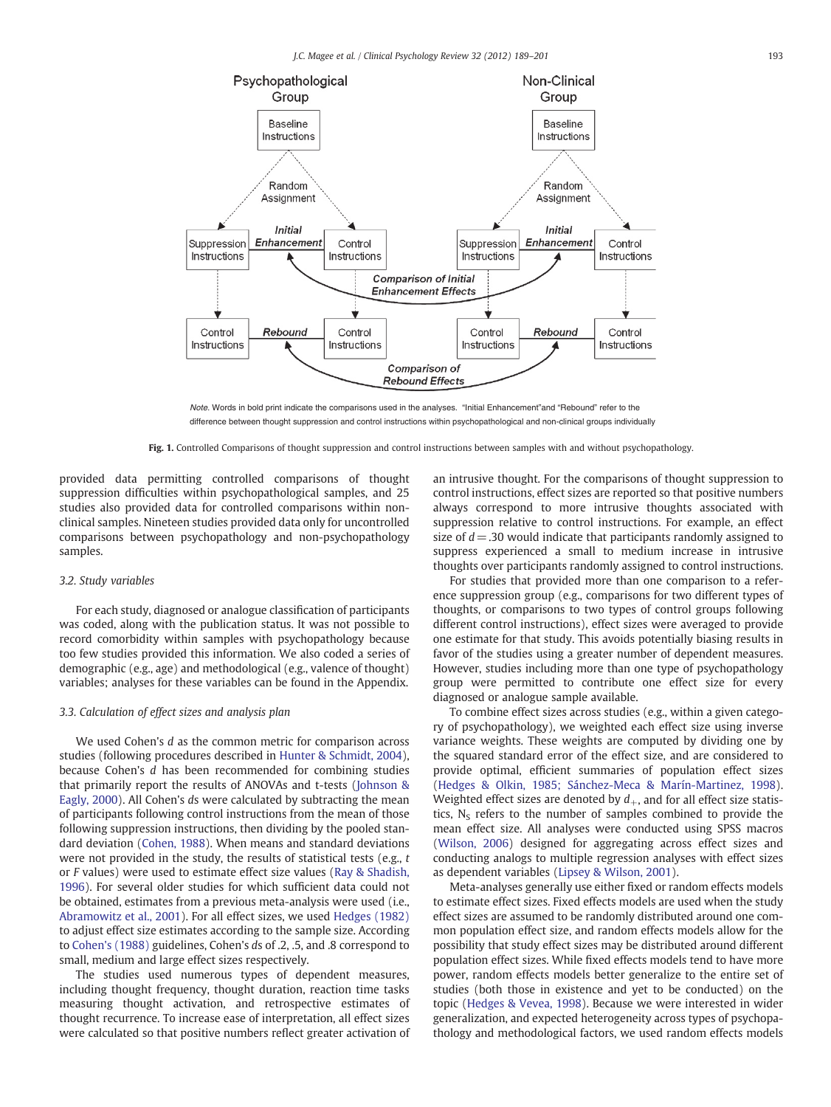<span id="page-4-0"></span>

*Note.* Words in bold print indicate the comparisons used in the analyses. "Initial Enhancement"and "Rebound" refer to the difference between thought suppression and control instructions within psychopathological and non-clinical groups individually

Fig. 1. Controlled Comparisons of thought suppression and control instructions between samples with and without psychopathology.

provided data permitting controlled comparisons of thought suppression difficulties within psychopathological samples, and 25 studies also provided data for controlled comparisons within nonclinical samples. Nineteen studies provided data only for uncontrolled comparisons between psychopathology and non-psychopathology samples.

# 3.2. Study variables

For each study, diagnosed or analogue classification of participants was coded, along with the publication status. It was not possible to record comorbidity within samples with psychopathology because too few studies provided this information. We also coded a series of demographic (e.g., age) and methodological (e.g., valence of thought) variables; analyses for these variables can be found in the Appendix.

# 3.3. Calculation of effect sizes and analysis plan

We used Cohen's d as the common metric for comparison across studies (following procedures described in [Hunter & Schmidt, 2004](#page-11-0)), because Cohen's d has been recommended for combining studies that primarily report the results of ANOVAs and t-tests ([Johnson &](#page-11-0) [Eagly, 2000](#page-11-0)). All Cohen's ds were calculated by subtracting the mean of participants following control instructions from the mean of those following suppression instructions, then dividing by the pooled standard deviation ([Cohen, 1988](#page-11-0)). When means and standard deviations were not provided in the study, the results of statistical tests (e.g., t or F values) were used to estimate effect size values ([Ray & Shadish,](#page-11-0) [1996\)](#page-11-0). For several older studies for which sufficient data could not be obtained, estimates from a previous meta-analysis were used (i.e., [Abramowitz et al., 2001\)](#page-10-0). For all effect sizes, we used [Hedges \(1982\)](#page-11-0) to adjust effect size estimates according to the sample size. According to [Cohen's \(1988\)](#page-11-0) guidelines, Cohen's ds of .2, .5, and .8 correspond to small, medium and large effect sizes respectively.

The studies used numerous types of dependent measures, including thought frequency, thought duration, reaction time tasks measuring thought activation, and retrospective estimates of thought recurrence. To increase ease of interpretation, all effect sizes were calculated so that positive numbers reflect greater activation of

an intrusive thought. For the comparisons of thought suppression to control instructions, effect sizes are reported so that positive numbers always correspond to more intrusive thoughts associated with suppression relative to control instructions. For example, an effect size of  $d = 0.30$  would indicate that participants randomly assigned to suppress experienced a small to medium increase in intrusive thoughts over participants randomly assigned to control instructions.

For studies that provided more than one comparison to a reference suppression group (e.g., comparisons for two different types of thoughts, or comparisons to two types of control groups following different control instructions), effect sizes were averaged to provide one estimate for that study. This avoids potentially biasing results in favor of the studies using a greater number of dependent measures. However, studies including more than one type of psychopathology group were permitted to contribute one effect size for every diagnosed or analogue sample available.

To combine effect sizes across studies (e.g., within a given category of psychopathology), we weighted each effect size using inverse variance weights. These weights are computed by dividing one by the squared standard error of the effect size, and are considered to provide optimal, efficient summaries of population effect sizes [\(Hedges & Olkin, 1985; Sánchez-Meca & Marín-Martinez, 1998](#page-11-0)). Weighted effect sizes are denoted by  $d_{+}$ , and for all effect size statistics,  $N<sub>S</sub>$  refers to the number of samples combined to provide the mean effect size. All analyses were conducted using SPSS macros [\(Wilson, 2006\)](#page-12-0) designed for aggregating across effect sizes and conducting analogs to multiple regression analyses with effect sizes as dependent variables [\(Lipsey & Wilson, 2001](#page-11-0)).

Meta-analyses generally use either fixed or random effects models to estimate effect sizes. Fixed effects models are used when the study effect sizes are assumed to be randomly distributed around one common population effect size, and random effects models allow for the possibility that study effect sizes may be distributed around different population effect sizes. While fixed effects models tend to have more power, random effects models better generalize to the entire set of studies (both those in existence and yet to be conducted) on the topic ([Hedges & Vevea, 1998\)](#page-11-0). Because we were interested in wider generalization, and expected heterogeneity across types of psychopathology and methodological factors, we used random effects models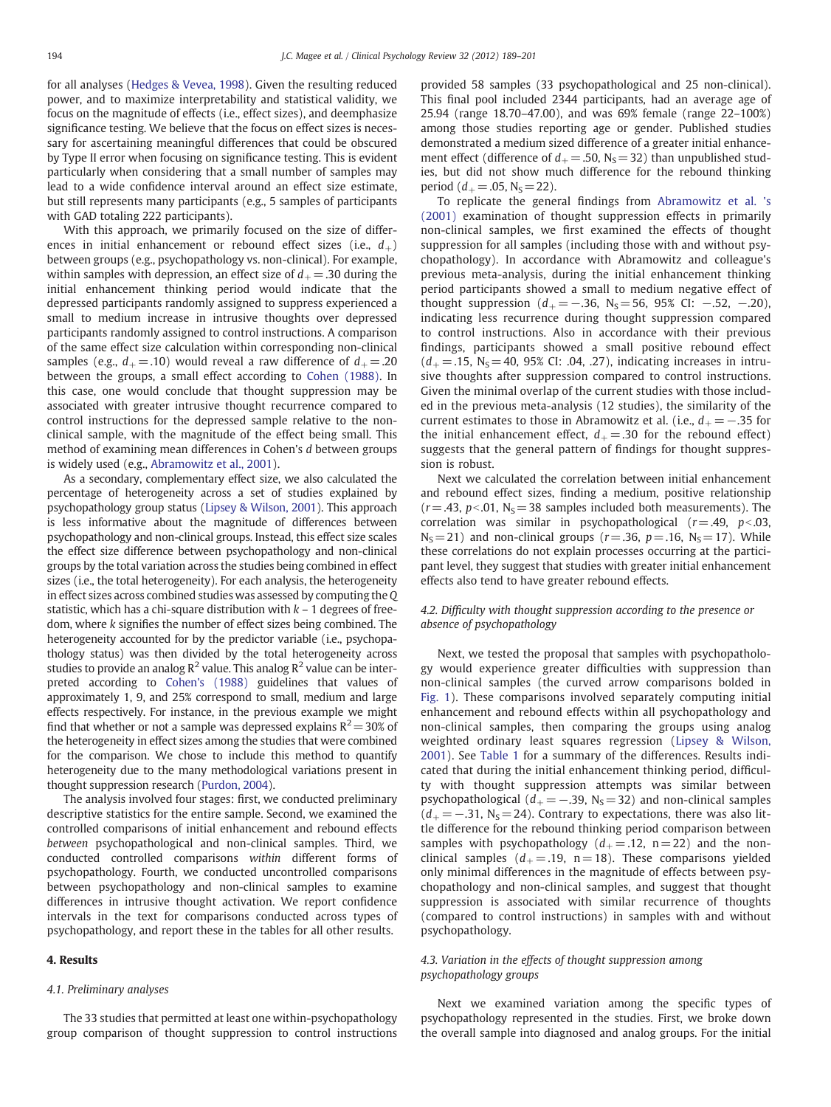for all analyses [\(Hedges & Vevea, 1998](#page-11-0)). Given the resulting reduced power, and to maximize interpretability and statistical validity, we focus on the magnitude of effects (i.e., effect sizes), and deemphasize significance testing. We believe that the focus on effect sizes is necessary for ascertaining meaningful differences that could be obscured by Type II error when focusing on significance testing. This is evident particularly when considering that a small number of samples may lead to a wide confidence interval around an effect size estimate, but still represents many participants (e.g., 5 samples of participants with GAD totaling 222 participants).

With this approach, we primarily focused on the size of differences in initial enhancement or rebound effect sizes (i.e.,  $d_{+}$ ) between groups (e.g., psychopathology vs. non-clinical). For example, within samples with depression, an effect size of  $d_{+} = 0.30$  during the initial enhancement thinking period would indicate that the depressed participants randomly assigned to suppress experienced a small to medium increase in intrusive thoughts over depressed participants randomly assigned to control instructions. A comparison of the same effect size calculation within corresponding non-clinical samples (e.g.,  $d_{+} = .10$ ) would reveal a raw difference of  $d_{+} = .20$ between the groups, a small effect according to [Cohen \(1988\)](#page-11-0). In this case, one would conclude that thought suppression may be associated with greater intrusive thought recurrence compared to control instructions for the depressed sample relative to the nonclinical sample, with the magnitude of the effect being small. This method of examining mean differences in Cohen's d between groups is widely used (e.g., [Abramowitz et al., 2001](#page-10-0)).

As a secondary, complementary effect size, we also calculated the percentage of heterogeneity across a set of studies explained by psychopathology group status [\(Lipsey & Wilson, 2001\)](#page-11-0). This approach is less informative about the magnitude of differences between psychopathology and non-clinical groups. Instead, this effect size scales the effect size difference between psychopathology and non-clinical groups by the total variation across the studies being combined in effect sizes (i.e., the total heterogeneity). For each analysis, the heterogeneity in effect sizes across combined studies was assessed by computing the Q statistic, which has a chi-square distribution with  $k - 1$  degrees of freedom, where k signifies the number of effect sizes being combined. The heterogeneity accounted for by the predictor variable (i.e., psychopathology status) was then divided by the total heterogeneity across studies to provide an analog  $R^2$  value. This analog  $R^2$  value can be interpreted according to [Cohen's \(1988\)](#page-11-0) guidelines that values of approximately 1, 9, and 25% correspond to small, medium and large effects respectively. For instance, in the previous example we might find that whether or not a sample was depressed explains  $R^2=30\%$  of the heterogeneity in effect sizes among the studies that were combined for the comparison. We chose to include this method to quantify heterogeneity due to the many methodological variations present in thought suppression research ([Purdon, 2004](#page-11-0)).

The analysis involved four stages: first, we conducted preliminary descriptive statistics for the entire sample. Second, we examined the controlled comparisons of initial enhancement and rebound effects between psychopathological and non-clinical samples. Third, we conducted controlled comparisons within different forms of psychopathology. Fourth, we conducted uncontrolled comparisons between psychopathology and non-clinical samples to examine differences in intrusive thought activation. We report confidence intervals in the text for comparisons conducted across types of psychopathology, and report these in the tables for all other results.

# 4. Results

## 4.1. Preliminary analyses

The 33 studies that permitted at least one within-psychopathology group comparison of thought suppression to control instructions provided 58 samples (33 psychopathological and 25 non-clinical). This final pool included 2344 participants, had an average age of 25.94 (range 18.70–47.00), and was 69% female (range 22–100%) among those studies reporting age or gender. Published studies demonstrated a medium sized difference of a greater initial enhancement effect (difference of  $d_+$  = .50, N<sub>S</sub> = 32) than unpublished studies, but did not show much difference for the rebound thinking period ( $d_{+} = .05$ , N<sub>S</sub> = 22).

To replicate the general findings from [Abramowitz et al. 's](#page-10-0) [\(2001\)](#page-10-0) examination of thought suppression effects in primarily non-clinical samples, we first examined the effects of thought suppression for all samples (including those with and without psychopathology). In accordance with Abramowitz and colleague's previous meta-analysis, during the initial enhancement thinking period participants showed a small to medium negative effect of thought suppression ( $d_{+} = -0.36$ , N<sub>S</sub> = 56, 95% CI: −.52, −.20), indicating less recurrence during thought suppression compared to control instructions. Also in accordance with their previous findings, participants showed a small positive rebound effect  $(d_{+} = .15, N_{S} = 40, 95\%$  CI: .04, .27), indicating increases in intrusive thoughts after suppression compared to control instructions. Given the minimal overlap of the current studies with those included in the previous meta-analysis (12 studies), the similarity of the current estimates to those in Abramowitz et al. (i.e.,  $d_{+} = -0.35$  for the initial enhancement effect,  $d_{+} = .30$  for the rebound effect) suggests that the general pattern of findings for thought suppression is robust.

Next we calculated the correlation between initial enhancement and rebound effect sizes, finding a medium, positive relationship  $(r=.43, p<.01, N<sub>S</sub>= 38$  samples included both measurements). The correlation was similar in psychopathological  $(r=.49, p<.03,$  $N_S = 21$ ) and non-clinical groups ( $r = .36$ ,  $p = .16$ ,  $N_S = 17$ ). While these correlations do not explain processes occurring at the participant level, they suggest that studies with greater initial enhancement effects also tend to have greater rebound effects.

# 4.2. Difficulty with thought suppression according to the presence or absence of psychopathology

Next, we tested the proposal that samples with psychopathology would experience greater difficulties with suppression than non-clinical samples (the curved arrow comparisons bolded in [Fig. 1](#page-4-0)). These comparisons involved separately computing initial enhancement and rebound effects within all psychopathology and non-clinical samples, then comparing the groups using analog weighted ordinary least squares regression [\(Lipsey & Wilson,](#page-11-0) [2001](#page-11-0)). See [Table 1](#page-6-0) for a summary of the differences. Results indicated that during the initial enhancement thinking period, difficulty with thought suppression attempts was similar between psychopathological ( $d_{+}$  = −.39, N<sub>S</sub> = 32) and non-clinical samples  $(d_{+}=-.31, N_{S}= 24)$ . Contrary to expectations, there was also little difference for the rebound thinking period comparison between samples with psychopathology  $(d_{+} = .12, n = 22)$  and the nonclinical samples  $(d_{+}= .19, n=18)$ . These comparisons yielded only minimal differences in the magnitude of effects between psychopathology and non-clinical samples, and suggest that thought suppression is associated with similar recurrence of thoughts (compared to control instructions) in samples with and without psychopathology.

# 4.3. Variation in the effects of thought suppression among psychopathology groups

Next we examined variation among the specific types of psychopathology represented in the studies. First, we broke down the overall sample into diagnosed and analog groups. For the initial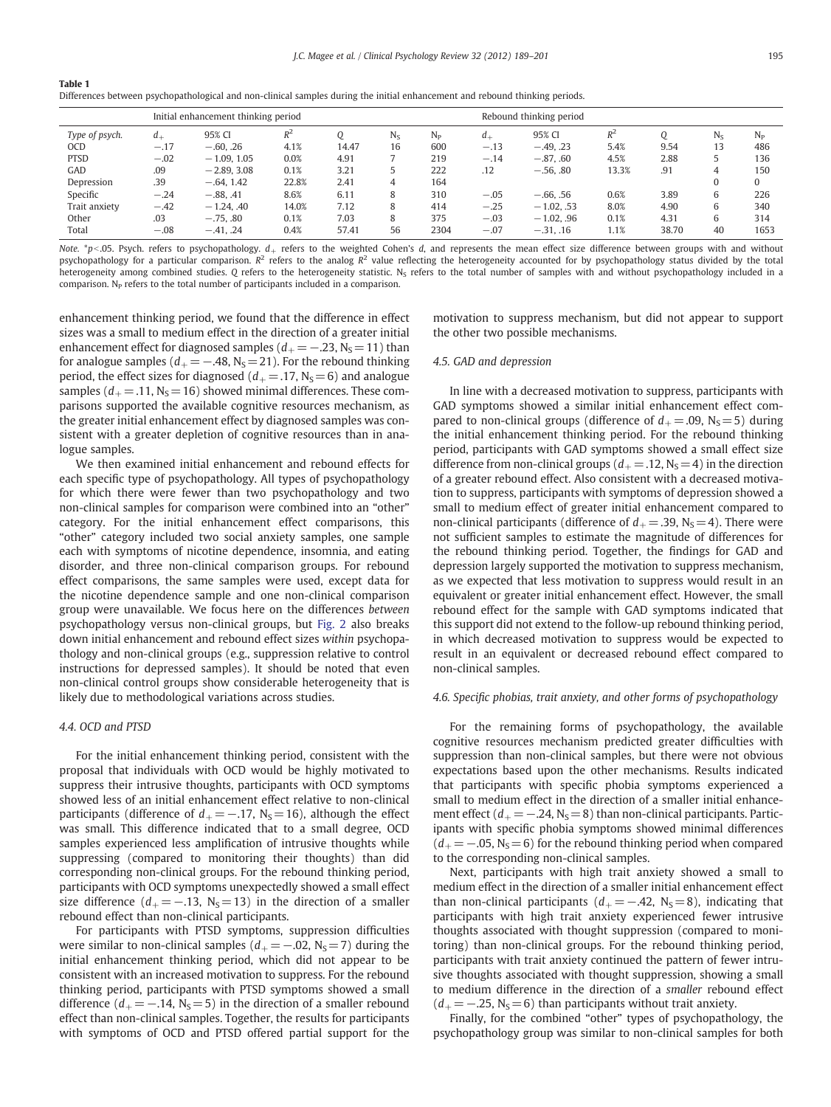<span id="page-6-0"></span>

| ٧ |
|---|
|---|

| Differences between psychopathological and non-clinical samples during the initial enhancement and rebound thinking periods. |  |  |  |
|------------------------------------------------------------------------------------------------------------------------------|--|--|--|
|------------------------------------------------------------------------------------------------------------------------------|--|--|--|

|                | Initial enhancement thinking period |               |       |       |    | Rebound thinking period |         |               |       |       |          |         |
|----------------|-------------------------------------|---------------|-------|-------|----|-------------------------|---------|---------------|-------|-------|----------|---------|
| Type of psych. | $d_{+}$                             | 95% CI        | $R^2$ |       | N  | $N_{P}$                 | $d_{+}$ | 95% CI        | $R^2$ |       | $N_S$    | $N_{P}$ |
| <b>OCD</b>     | $-.17$                              | $-.60, .26$   | 4.1%  | 14.47 | 16 | 600                     | $-.13$  | $-.49. .23$   | 5.4%  | 9.54  | 13       | 486     |
| <b>PTSD</b>    | $-.02$                              | $-1.09.1.05$  | 0.0%  | 4.91  |    | 219                     | $-.14$  | $-.87, .60$   | 4.5%  | 2.88  | 5        | 136     |
| GAD            | .09                                 | $-2.89, 3.08$ | 0.1%  | 3.21  | 5  | 222                     | .12     | $-.56, .80$   | 13.3% | .91   | 4        | 150     |
| Depression     | .39                                 | $-.64, 1.42$  | 22.8% | 2.41  | 4  | 164                     |         |               |       |       | $\Omega$ |         |
| Specific       | $-.24$                              | $-.88, .41$   | 8.6%  | 6.11  | 8  | 310                     | $-.05$  | $-.66, .56$   | 0.6%  | 3.89  | 6        | 226     |
| Trait anxiety  | $-.42$                              | $-1.24, .40$  | 14.0% | 7.12  | 8  | 414                     | $-.25$  | $-1.02, .53$  | 8.0%  | 4.90  | 6        | 340     |
| Other          | .03                                 | $-.75, .80$   | 0.1%  | 7.03  | 8  | 375                     | $-.03$  | $-1.02$ . .96 | 0.1%  | 4.31  | 6        | 314     |
| Total          | $-.08$                              | $-.41, .24$   | 0.4%  | 57.41 | 56 | 2304                    | $-.07$  | $-.31, .16$   | 1.1%  | 38.70 | 40       | 1653    |

Note. \*p<.05. Psych. refers to psychopathology.  $d_+$  refers to the weighted Cohen's d, and represents the mean effect size difference between groups with and without psychopathology for a particular comparison.  $R^2$  refers to the analog  $R^2$  value reflecting the heterogeneity accounted for by psychopathology status divided by the total heterogeneity among combined studies. Q refers to the heterogeneity statistic. N<sub>S</sub> refers to the total number of samples with and without psychopathology included in a comparison.  $N_P$  refers to the total number of participants included in a comparison.

enhancement thinking period, we found that the difference in effect sizes was a small to medium effect in the direction of a greater initial enhancement effect for diagnosed samples ( $d_{+}=-.23$ , N<sub>S</sub>= 11) than for analogue samples ( $d_{+} = -0.48$ , N<sub>S</sub>= 21). For the rebound thinking period, the effect sizes for diagnosed ( $d_{+} = .17$ , N<sub>S</sub> = 6) and analogue samples ( $d_{+} = .11$ , N<sub>S</sub> = 16) showed minimal differences. These comparisons supported the available cognitive resources mechanism, as the greater initial enhancement effect by diagnosed samples was consistent with a greater depletion of cognitive resources than in analogue samples.

We then examined initial enhancement and rebound effects for each specific type of psychopathology. All types of psychopathology for which there were fewer than two psychopathology and two non-clinical samples for comparison were combined into an "other" category. For the initial enhancement effect comparisons, this "other" category included two social anxiety samples, one sample each with symptoms of nicotine dependence, insomnia, and eating disorder, and three non-clinical comparison groups. For rebound effect comparisons, the same samples were used, except data for the nicotine dependence sample and one non-clinical comparison group were unavailable. We focus here on the differences between psychopathology versus non-clinical groups, but [Fig. 2](#page-7-0) also breaks down initial enhancement and rebound effect sizes within psychopathology and non-clinical groups (e.g., suppression relative to control instructions for depressed samples). It should be noted that even non-clinical control groups show considerable heterogeneity that is likely due to methodological variations across studies.

# 4.4. OCD and PTSD

For the initial enhancement thinking period, consistent with the proposal that individuals with OCD would be highly motivated to suppress their intrusive thoughts, participants with OCD symptoms showed less of an initial enhancement effect relative to non-clinical participants (difference of  $d_{+} = -0.17$ , N<sub>S</sub> = 16), although the effect was small. This difference indicated that to a small degree, OCD samples experienced less amplification of intrusive thoughts while suppressing (compared to monitoring their thoughts) than did corresponding non-clinical groups. For the rebound thinking period, participants with OCD symptoms unexpectedly showed a small effect size difference ( $d_{+} = -0.13$ , N<sub>S</sub>= 13) in the direction of a smaller rebound effect than non-clinical participants.

For participants with PTSD symptoms, suppression difficulties were similar to non-clinical samples ( $d_{+} = -0.02$ , N<sub>S</sub>= 7) during the initial enhancement thinking period, which did not appear to be consistent with an increased motivation to suppress. For the rebound thinking period, participants with PTSD symptoms showed a small difference ( $d_{+} = -.14$ , N<sub>S</sub>=5) in the direction of a smaller rebound effect than non-clinical samples. Together, the results for participants with symptoms of OCD and PTSD offered partial support for the motivation to suppress mechanism, but did not appear to support the other two possible mechanisms.

#### 4.5. GAD and depression

In line with a decreased motivation to suppress, participants with GAD symptoms showed a similar initial enhancement effect compared to non-clinical groups (difference of  $d_{+} = .09$ ,  $N_S = 5$ ) during the initial enhancement thinking period. For the rebound thinking period, participants with GAD symptoms showed a small effect size difference from non-clinical groups ( $d_{+} = .12$ , N<sub>S</sub>=4) in the direction of a greater rebound effect. Also consistent with a decreased motivation to suppress, participants with symptoms of depression showed a small to medium effect of greater initial enhancement compared to non-clinical participants (difference of  $d_{+} = .39$ , N<sub>S</sub> = 4). There were not sufficient samples to estimate the magnitude of differences for the rebound thinking period. Together, the findings for GAD and depression largely supported the motivation to suppress mechanism, as we expected that less motivation to suppress would result in an equivalent or greater initial enhancement effect. However, the small rebound effect for the sample with GAD symptoms indicated that this support did not extend to the follow-up rebound thinking period, in which decreased motivation to suppress would be expected to result in an equivalent or decreased rebound effect compared to non-clinical samples.

# 4.6. Specific phobias, trait anxiety, and other forms of psychopathology

For the remaining forms of psychopathology, the available cognitive resources mechanism predicted greater difficulties with suppression than non-clinical samples, but there were not obvious expectations based upon the other mechanisms. Results indicated that participants with specific phobia symptoms experienced a small to medium effect in the direction of a smaller initial enhancement effect ( $d_{+} = -0.24$ , N<sub>S</sub>= 8) than non-clinical participants. Participants with specific phobia symptoms showed minimal differences  $(d_{+}=-.05, N_{S}= 6)$  for the rebound thinking period when compared to the corresponding non-clinical samples.

Next, participants with high trait anxiety showed a small to medium effect in the direction of a smaller initial enhancement effect than non-clinical participants ( $d_{+} = -0.42$ , N<sub>S</sub>=8), indicating that participants with high trait anxiety experienced fewer intrusive thoughts associated with thought suppression (compared to monitoring) than non-clinical groups. For the rebound thinking period, participants with trait anxiety continued the pattern of fewer intrusive thoughts associated with thought suppression, showing a small to medium difference in the direction of a smaller rebound effect  $(d_{+}=-.25, N_{s}=6)$  than participants without trait anxiety.

Finally, for the combined "other" types of psychopathology, the psychopathology group was similar to non-clinical samples for both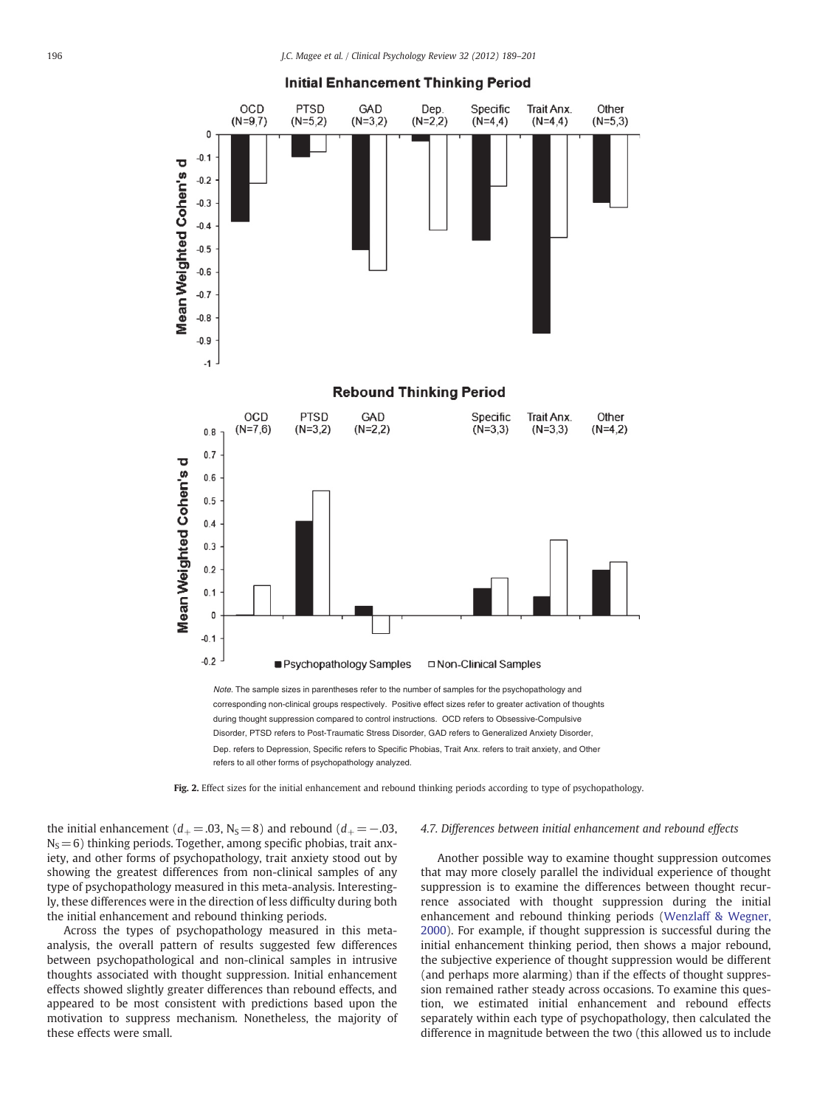<span id="page-7-0"></span>

# **Initial Enhancement Thinking Period**

corresponding non-clinical groups respectively. Positive effect sizes refer to greater activation of thoughts during thought suppression compared to control instructions. OCD refers to Obsessive-Compulsive Disorder, PTSD refers to Post-Traumatic Stress Disorder, GAD refers to Generalized Anxiety Disorder, Dep. refers to Depression, Specific refers to Specific Phobias, Trait Anx. refers to trait anxiety, and Other refers to all other forms of psychopathology analyzed.

Fig. 2. Effect sizes for the initial enhancement and rebound thinking periods according to type of psychopathology.

the initial enhancement ( $d_{+} = .03$ , N<sub>S</sub>=8) and rebound ( $d_{+} = -.03$ ,  $N<sub>S</sub>= 6$ ) thinking periods. Together, among specific phobias, trait anxiety, and other forms of psychopathology, trait anxiety stood out by showing the greatest differences from non-clinical samples of any type of psychopathology measured in this meta-analysis. Interestingly, these differences were in the direction of less difficulty during both the initial enhancement and rebound thinking periods.

Across the types of psychopathology measured in this metaanalysis, the overall pattern of results suggested few differences between psychopathological and non-clinical samples in intrusive thoughts associated with thought suppression. Initial enhancement effects showed slightly greater differences than rebound effects, and appeared to be most consistent with predictions based upon the motivation to suppress mechanism. Nonetheless, the majority of these effects were small.

### 4.7. Differences between initial enhancement and rebound effects

Another possible way to examine thought suppression outcomes that may more closely parallel the individual experience of thought suppression is to examine the differences between thought recurrence associated with thought suppression during the initial enhancement and rebound thinking periods [\(Wenzlaff & Wegner,](#page-12-0) [2000\)](#page-12-0). For example, if thought suppression is successful during the initial enhancement thinking period, then shows a major rebound, the subjective experience of thought suppression would be different (and perhaps more alarming) than if the effects of thought suppression remained rather steady across occasions. To examine this question, we estimated initial enhancement and rebound effects separately within each type of psychopathology, then calculated the difference in magnitude between the two (this allowed us to include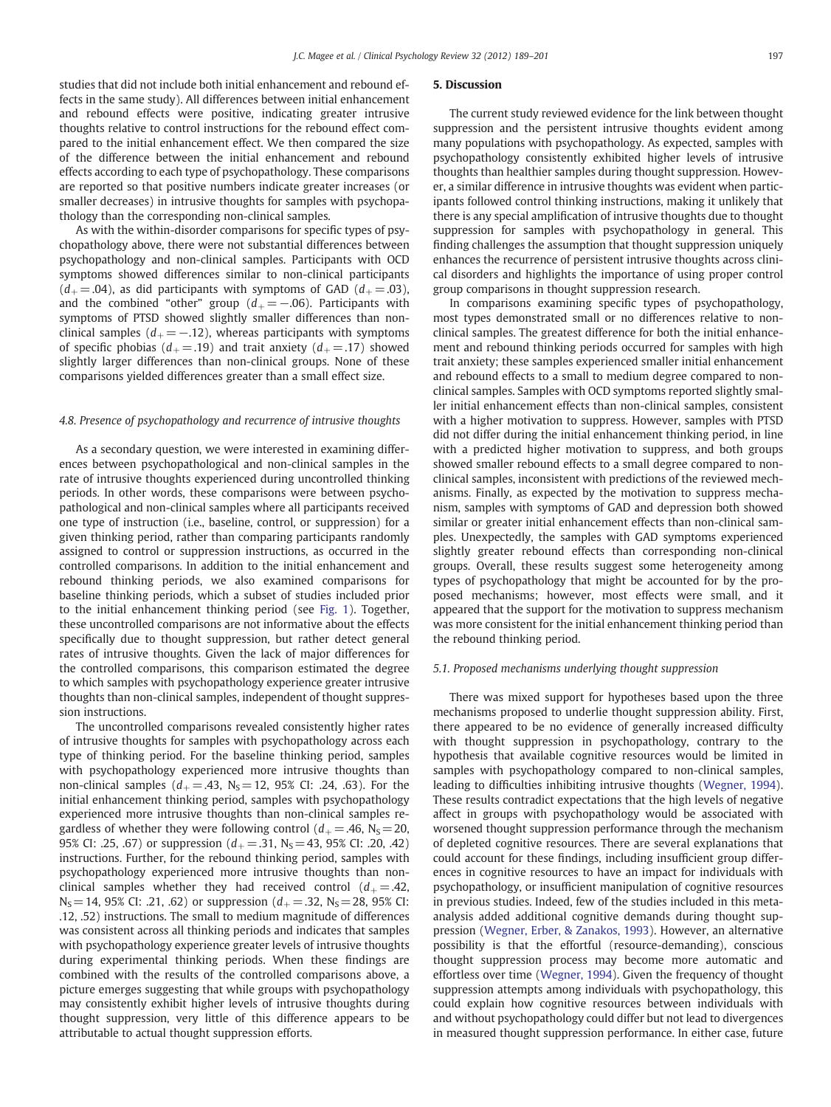studies that did not include both initial enhancement and rebound effects in the same study). All differences between initial enhancement and rebound effects were positive, indicating greater intrusive thoughts relative to control instructions for the rebound effect compared to the initial enhancement effect. We then compared the size of the difference between the initial enhancement and rebound effects according to each type of psychopathology. These comparisons are reported so that positive numbers indicate greater increases (or smaller decreases) in intrusive thoughts for samples with psychopathology than the corresponding non-clinical samples.

As with the within-disorder comparisons for specific types of psychopathology above, there were not substantial differences between psychopathology and non-clinical samples. Participants with OCD symptoms showed differences similar to non-clinical participants  $(d_{+} = .04)$ , as did participants with symptoms of GAD  $(d_{+} = .03)$ , and the combined "other" group  $(d_{+}=-.06)$ . Participants with symptoms of PTSD showed slightly smaller differences than nonclinical samples ( $d_{+}=-.12$ ), whereas participants with symptoms of specific phobias ( $d_{+} = .19$ ) and trait anxiety ( $d_{+} = .17$ ) showed slightly larger differences than non-clinical groups. None of these comparisons yielded differences greater than a small effect size.

# 4.8. Presence of psychopathology and recurrence of intrusive thoughts

As a secondary question, we were interested in examining differences between psychopathological and non-clinical samples in the rate of intrusive thoughts experienced during uncontrolled thinking periods. In other words, these comparisons were between psychopathological and non-clinical samples where all participants received one type of instruction (i.e., baseline, control, or suppression) for a given thinking period, rather than comparing participants randomly assigned to control or suppression instructions, as occurred in the controlled comparisons. In addition to the initial enhancement and rebound thinking periods, we also examined comparisons for baseline thinking periods, which a subset of studies included prior to the initial enhancement thinking period (see [Fig. 1](#page-4-0)). Together, these uncontrolled comparisons are not informative about the effects specifically due to thought suppression, but rather detect general rates of intrusive thoughts. Given the lack of major differences for the controlled comparisons, this comparison estimated the degree to which samples with psychopathology experience greater intrusive thoughts than non-clinical samples, independent of thought suppression instructions.

The uncontrolled comparisons revealed consistently higher rates of intrusive thoughts for samples with psychopathology across each type of thinking period. For the baseline thinking period, samples with psychopathology experienced more intrusive thoughts than non-clinical samples  $(d_{+} = .43, N_{S} = 12, 95\%$  CI: .24, .63). For the initial enhancement thinking period, samples with psychopathology experienced more intrusive thoughts than non-clinical samples regardless of whether they were following control ( $d_{+} = .46$ , N<sub>S</sub> = 20, 95% CI: .25, .67) or suppression ( $d_{+} = 0.31$ , N<sub>S</sub> = 43, 95% CI: .20, .42) instructions. Further, for the rebound thinking period, samples with psychopathology experienced more intrusive thoughts than nonclinical samples whether they had received control  $(d_{+} = .42,$  $N_S = 14$ , 95% CI: .21, .62) or suppression ( $d_+ = .32$ ,  $N_S = 28$ , 95% CI: .12, .52) instructions. The small to medium magnitude of differences was consistent across all thinking periods and indicates that samples with psychopathology experience greater levels of intrusive thoughts during experimental thinking periods. When these findings are combined with the results of the controlled comparisons above, a picture emerges suggesting that while groups with psychopathology may consistently exhibit higher levels of intrusive thoughts during thought suppression, very little of this difference appears to be attributable to actual thought suppression efforts.

# 5. Discussion

The current study reviewed evidence for the link between thought suppression and the persistent intrusive thoughts evident among many populations with psychopathology. As expected, samples with psychopathology consistently exhibited higher levels of intrusive thoughts than healthier samples during thought suppression. However, a similar difference in intrusive thoughts was evident when participants followed control thinking instructions, making it unlikely that there is any special amplification of intrusive thoughts due to thought suppression for samples with psychopathology in general. This finding challenges the assumption that thought suppression uniquely enhances the recurrence of persistent intrusive thoughts across clinical disorders and highlights the importance of using proper control group comparisons in thought suppression research.

In comparisons examining specific types of psychopathology, most types demonstrated small or no differences relative to nonclinical samples. The greatest difference for both the initial enhancement and rebound thinking periods occurred for samples with high trait anxiety; these samples experienced smaller initial enhancement and rebound effects to a small to medium degree compared to nonclinical samples. Samples with OCD symptoms reported slightly smaller initial enhancement effects than non-clinical samples, consistent with a higher motivation to suppress. However, samples with PTSD did not differ during the initial enhancement thinking period, in line with a predicted higher motivation to suppress, and both groups showed smaller rebound effects to a small degree compared to nonclinical samples, inconsistent with predictions of the reviewed mechanisms. Finally, as expected by the motivation to suppress mechanism, samples with symptoms of GAD and depression both showed similar or greater initial enhancement effects than non-clinical samples. Unexpectedly, the samples with GAD symptoms experienced slightly greater rebound effects than corresponding non-clinical groups. Overall, these results suggest some heterogeneity among types of psychopathology that might be accounted for by the proposed mechanisms; however, most effects were small, and it appeared that the support for the motivation to suppress mechanism was more consistent for the initial enhancement thinking period than the rebound thinking period.

#### 5.1. Proposed mechanisms underlying thought suppression

There was mixed support for hypotheses based upon the three mechanisms proposed to underlie thought suppression ability. First, there appeared to be no evidence of generally increased difficulty with thought suppression in psychopathology, contrary to the hypothesis that available cognitive resources would be limited in samples with psychopathology compared to non-clinical samples, leading to difficulties inhibiting intrusive thoughts [\(Wegner, 1994](#page-12-0)). These results contradict expectations that the high levels of negative affect in groups with psychopathology would be associated with worsened thought suppression performance through the mechanism of depleted cognitive resources. There are several explanations that could account for these findings, including insufficient group differences in cognitive resources to have an impact for individuals with psychopathology, or insufficient manipulation of cognitive resources in previous studies. Indeed, few of the studies included in this metaanalysis added additional cognitive demands during thought suppression [\(Wegner, Erber, & Zanakos, 1993](#page-12-0)). However, an alternative possibility is that the effortful (resource-demanding), conscious thought suppression process may become more automatic and effortless over time [\(Wegner, 1994\)](#page-12-0). Given the frequency of thought suppression attempts among individuals with psychopathology, this could explain how cognitive resources between individuals with and without psychopathology could differ but not lead to divergences in measured thought suppression performance. In either case, future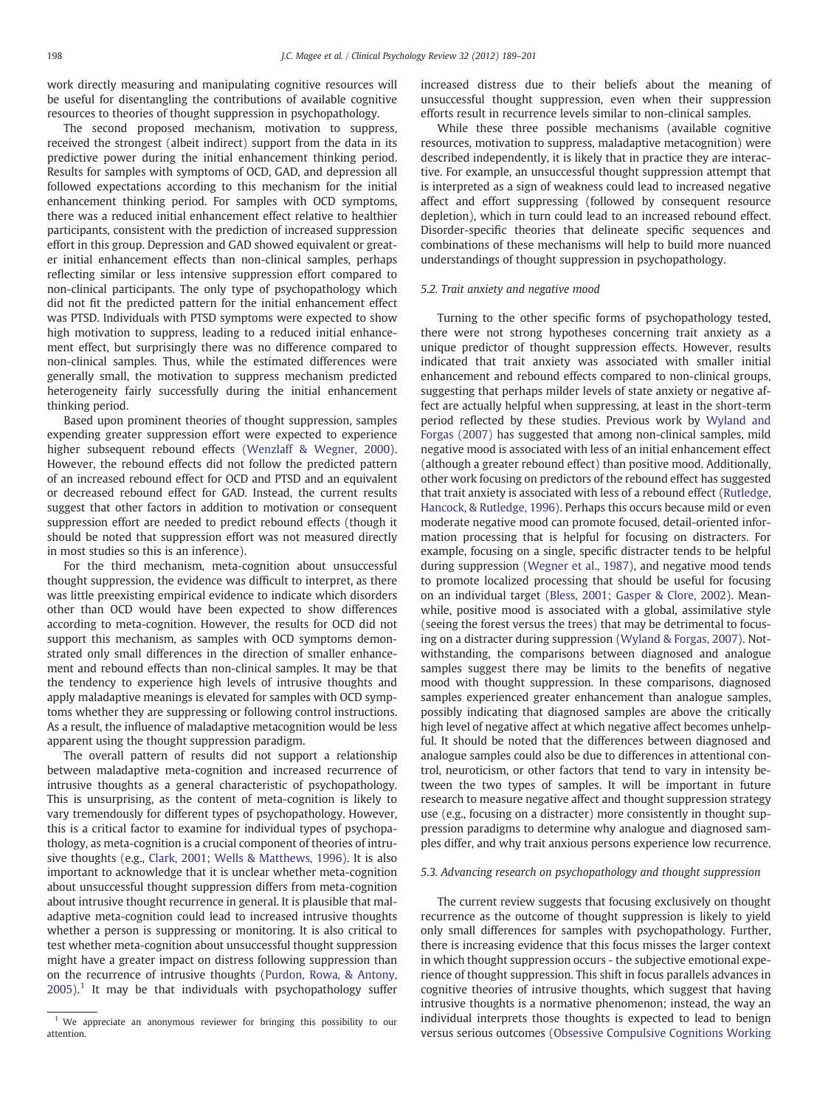work directly measuring and manipulating cognitive resources will be useful for disentangling the contributions of available cognitive resources to theories of thought suppression in psychopathology.

The second proposed mechanism, motivation to suppress, received the strongest (albeit indirect) support from the data in its predictive power during the initial enhancement thinking period. Results for samples with symptoms of OCD, GAD, and depression all followed expectations according to this mechanism for the initial enhancement thinking period. For samples with OCD symptoms, there was a reduced initial enhancement effect relative to healthier participants, consistent with the prediction of increased suppression effort in this group. Depression and GAD showed equivalent or greater initial enhancement effects than non-clinical samples, perhaps reflecting similar or less intensive suppression effort compared to non-clinical participants. The only type of psychopathology which did not fit the predicted pattern for the initial enhancement effect was PTSD. Individuals with PTSD symptoms were expected to show high motivation to suppress, leading to a reduced initial enhancement effect, but surprisingly there was no difference compared to non-clinical samples. Thus, while the estimated differences were generally small, the motivation to suppress mechanism predicted heterogeneity fairly successfully during the initial enhancement thinking period.

Based upon prominent theories of thought suppression, samples expending greater suppression effort were expected to experience higher subsequent rebound effects [\(Wenzlaff & Wegner, 2000](#page-12-0)). However, the rebound effects did not follow the predicted pattern of an increased rebound effect for OCD and PTSD and an equivalent or decreased rebound effect for GAD. Instead, the current results suggest that other factors in addition to motivation or consequent suppression effort are needed to predict rebound effects (though it should be noted that suppression effort was not measured directly in most studies so this is an inference).

For the third mechanism, meta-cognition about unsuccessful thought suppression, the evidence was difficult to interpret, as there was little preexisting empirical evidence to indicate which disorders other than OCD would have been expected to show differences according to meta-cognition. However, the results for OCD did not support this mechanism, as samples with OCD symptoms demonstrated only small differences in the direction of smaller enhancement and rebound effects than non-clinical samples. It may be that the tendency to experience high levels of intrusive thoughts and apply maladaptive meanings is elevated for samples with OCD symptoms whether they are suppressing or following control instructions. As a result, the influence of maladaptive metacognition would be less apparent using the thought suppression paradigm.

The overall pattern of results did not support a relationship between maladaptive meta-cognition and increased recurrence of intrusive thoughts as a general characteristic of psychopathology. This is unsurprising, as the content of meta-cognition is likely to vary tremendously for different types of psychopathology. However, this is a critical factor to examine for individual types of psychopathology, as meta-cognition is a crucial component of theories of intrusive thoughts (e.g., [Clark, 2001; Wells & Matthews, 1996](#page-11-0)). It is also important to acknowledge that it is unclear whether meta-cognition about unsuccessful thought suppression differs from meta-cognition about intrusive thought recurrence in general. It is plausible that maladaptive meta-cognition could lead to increased intrusive thoughts whether a person is suppressing or monitoring. It is also critical to test whether meta-cognition about unsuccessful thought suppression might have a greater impact on distress following suppression than on the recurrence of intrusive thoughts [\(Purdon, Rowa, & Antony,](#page-11-0)  $2005$ ).<sup>1</sup> It may be that individuals with psychopathology suffer

increased distress due to their beliefs about the meaning of unsuccessful thought suppression, even when their suppression efforts result in recurrence levels similar to non-clinical samples.

While these three possible mechanisms (available cognitive resources, motivation to suppress, maladaptive metacognition) were described independently, it is likely that in practice they are interactive. For example, an unsuccessful thought suppression attempt that is interpreted as a sign of weakness could lead to increased negative affect and effort suppressing (followed by consequent resource depletion), which in turn could lead to an increased rebound effect. Disorder-specific theories that delineate specific sequences and combinations of these mechanisms will help to build more nuanced understandings of thought suppression in psychopathology.

# 5.2. Trait anxiety and negative mood

Turning to the other specific forms of psychopathology tested, there were not strong hypotheses concerning trait anxiety as a unique predictor of thought suppression effects. However, results indicated that trait anxiety was associated with smaller initial enhancement and rebound effects compared to non-clinical groups, suggesting that perhaps milder levels of state anxiety or negative affect are actually helpful when suppressing, at least in the short-term period reflected by these studies. Previous work by [Wyland and](#page-12-0) [Forgas \(2007\)](#page-12-0) has suggested that among non-clinical samples, mild negative mood is associated with less of an initial enhancement effect (although a greater rebound effect) than positive mood. Additionally, other work focusing on predictors of the rebound effect has suggested that trait anxiety is associated with less of a rebound effect ([Rutledge,](#page-12-0) [Hancock, & Rutledge, 1996\)](#page-12-0). Perhaps this occurs because mild or even moderate negative mood can promote focused, detail-oriented information processing that is helpful for focusing on distracters. For example, focusing on a single, specific distracter tends to be helpful during suppression [\(Wegner et al., 1987\)](#page-12-0), and negative mood tends to promote localized processing that should be useful for focusing on an individual target [\(Bless, 2001; Gasper & Clore, 2002\)](#page-11-0). Meanwhile, positive mood is associated with a global, assimilative style (seeing the forest versus the trees) that may be detrimental to focusing on a distracter during suppression [\(Wyland & Forgas, 2007\)](#page-12-0). Notwithstanding, the comparisons between diagnosed and analogue samples suggest there may be limits to the benefits of negative mood with thought suppression. In these comparisons, diagnosed samples experienced greater enhancement than analogue samples, possibly indicating that diagnosed samples are above the critically high level of negative affect at which negative affect becomes unhelpful. It should be noted that the differences between diagnosed and analogue samples could also be due to differences in attentional control, neuroticism, or other factors that tend to vary in intensity between the two types of samples. It will be important in future research to measure negative affect and thought suppression strategy use (e.g., focusing on a distracter) more consistently in thought suppression paradigms to determine why analogue and diagnosed samples differ, and why trait anxious persons experience low recurrence.

#### 5.3. Advancing research on psychopathology and thought suppression

The current review suggests that focusing exclusively on thought recurrence as the outcome of thought suppression is likely to yield only small differences for samples with psychopathology. Further, there is increasing evidence that this focus misses the larger context in which thought suppression occurs - the subjective emotional experience of thought suppression. This shift in focus parallels advances in cognitive theories of intrusive thoughts, which suggest that having intrusive thoughts is a normative phenomenon; instead, the way an individual interprets those thoughts is expected to lead to benign versus serious outcomes [\(Obsessive Compulsive Cognitions Working](#page-11-0)

<sup>&</sup>lt;sup>1</sup> We appreciate an anonymous reviewer for bringing this possibility to our attention.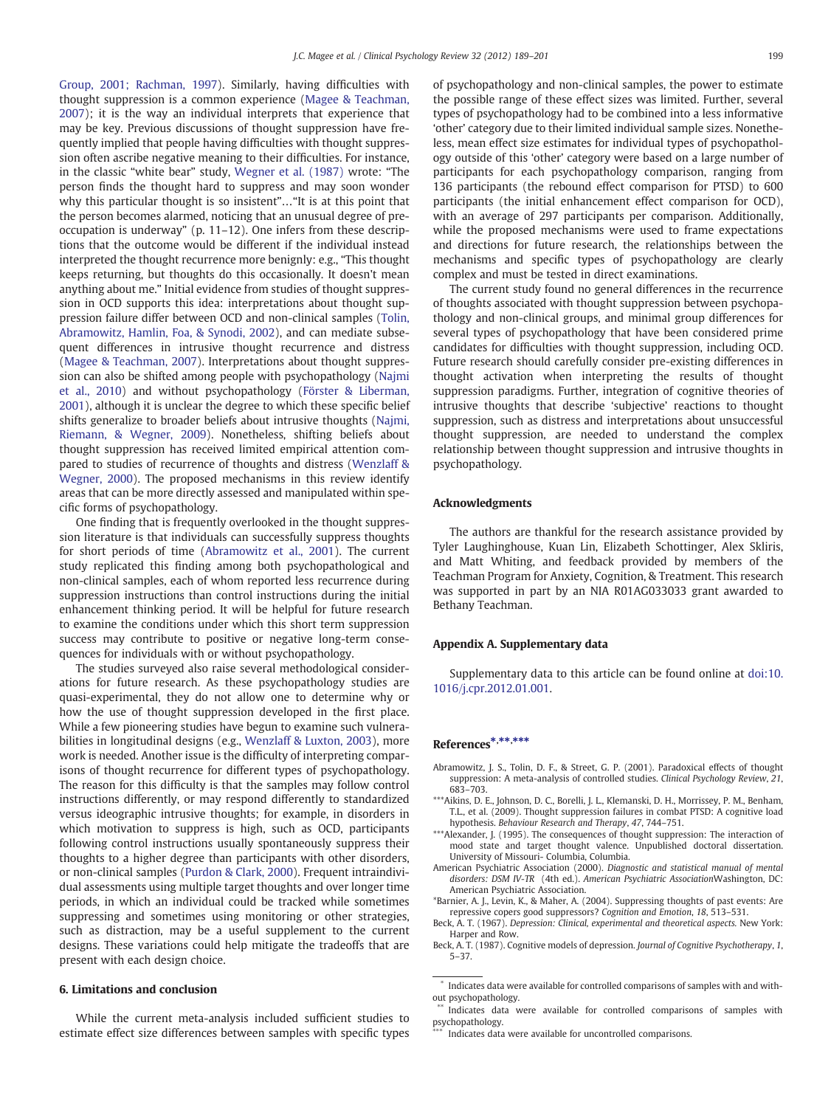<span id="page-10-0"></span>[Group, 2001; Rachman, 1997\)](#page-11-0). Similarly, having difficulties with thought suppression is a common experience ([Magee & Teachman,](#page-11-0) [2007\)](#page-11-0); it is the way an individual interprets that experience that may be key. Previous discussions of thought suppression have frequently implied that people having difficulties with thought suppression often ascribe negative meaning to their difficulties. For instance, in the classic "white bear" study, [Wegner et al. \(1987\)](#page-12-0) wrote: "The person finds the thought hard to suppress and may soon wonder why this particular thought is so insistent"…"It is at this point that the person becomes alarmed, noticing that an unusual degree of preoccupation is underway" (p. 11–12). One infers from these descriptions that the outcome would be different if the individual instead interpreted the thought recurrence more benignly: e.g., "This thought keeps returning, but thoughts do this occasionally. It doesn't mean anything about me." Initial evidence from studies of thought suppression in OCD supports this idea: interpretations about thought suppression failure differ between OCD and non-clinical samples [\(Tolin,](#page-12-0) [Abramowitz, Hamlin, Foa, & Synodi, 2002](#page-12-0)), and can mediate subsequent differences in intrusive thought recurrence and distress [\(Magee & Teachman, 2007](#page-11-0)). Interpretations about thought suppression can also be shifted among people with psychopathology ([Najmi](#page-11-0) [et al., 2010](#page-11-0)) and without psychopathology [\(Förster & Liberman,](#page-11-0) [2001\)](#page-11-0), although it is unclear the degree to which these specific belief shifts generalize to broader beliefs about intrusive thoughts ([Najmi,](#page-11-0) [Riemann, & Wegner, 2009\)](#page-11-0). Nonetheless, shifting beliefs about thought suppression has received limited empirical attention compared to studies of recurrence of thoughts and distress ([Wenzlaff &](#page-12-0) [Wegner, 2000](#page-12-0)). The proposed mechanisms in this review identify areas that can be more directly assessed and manipulated within specific forms of psychopathology.

One finding that is frequently overlooked in the thought suppression literature is that individuals can successfully suppress thoughts for short periods of time (Abramowitz et al., 2001). The current study replicated this finding among both psychopathological and non-clinical samples, each of whom reported less recurrence during suppression instructions than control instructions during the initial enhancement thinking period. It will be helpful for future research to examine the conditions under which this short term suppression success may contribute to positive or negative long-term consequences for individuals with or without psychopathology.

The studies surveyed also raise several methodological considerations for future research. As these psychopathology studies are quasi-experimental, they do not allow one to determine why or how the use of thought suppression developed in the first place. While a few pioneering studies have begun to examine such vulnerabilities in longitudinal designs (e.g., [Wenzlaff & Luxton, 2003\)](#page-12-0), more work is needed. Another issue is the difficulty of interpreting comparisons of thought recurrence for different types of psychopathology. The reason for this difficulty is that the samples may follow control instructions differently, or may respond differently to standardized versus ideographic intrusive thoughts; for example, in disorders in which motivation to suppress is high, such as OCD, participants following control instructions usually spontaneously suppress their thoughts to a higher degree than participants with other disorders, or non-clinical samples ([Purdon & Clark, 2000\)](#page-11-0). Frequent intraindividual assessments using multiple target thoughts and over longer time periods, in which an individual could be tracked while sometimes suppressing and sometimes using monitoring or other strategies, such as distraction, may be a useful supplement to the current designs. These variations could help mitigate the tradeoffs that are present with each design choice.

# 6. Limitations and conclusion

While the current meta-analysis included sufficient studies to estimate effect size differences between samples with specific types of psychopathology and non-clinical samples, the power to estimate the possible range of these effect sizes was limited. Further, several types of psychopathology had to be combined into a less informative 'other' category due to their limited individual sample sizes. Nonetheless, mean effect size estimates for individual types of psychopathology outside of this 'other' category were based on a large number of participants for each psychopathology comparison, ranging from 136 participants (the rebound effect comparison for PTSD) to 600 participants (the initial enhancement effect comparison for OCD), with an average of 297 participants per comparison. Additionally, while the proposed mechanisms were used to frame expectations and directions for future research, the relationships between the mechanisms and specific types of psychopathology are clearly complex and must be tested in direct examinations.

The current study found no general differences in the recurrence of thoughts associated with thought suppression between psychopathology and non-clinical groups, and minimal group differences for several types of psychopathology that have been considered prime candidates for difficulties with thought suppression, including OCD. Future research should carefully consider pre-existing differences in thought activation when interpreting the results of thought suppression paradigms. Further, integration of cognitive theories of intrusive thoughts that describe 'subjective' reactions to thought suppression, such as distress and interpretations about unsuccessful thought suppression, are needed to understand the complex relationship between thought suppression and intrusive thoughts in psychopathology.

# Acknowledgments

The authors are thankful for the research assistance provided by Tyler Laughinghouse, Kuan Lin, Elizabeth Schottinger, Alex Skliris, and Matt Whiting, and feedback provided by members of the Teachman Program for Anxiety, Cognition, & Treatment. This research was supported in part by an NIA R01AG033033 grant awarded to Bethany Teachman.

#### Appendix A. Supplementary data

Supplementary data to this article can be found online at doi:10. 1016/j.cpr.2012.01.001.

# References\*,\*\*,\*\*\*

- Abramowitz, J. S., Tolin, D. F., & Street, G. P. (2001). Paradoxical effects of thought suppression: A meta-analysis of controlled studies. Clinical Psychology Review, 21, 683–703.
- \*\*\*Aikins, D. E., Johnson, D. C., Borelli, J. L., Klemanski, D. H., Morrissey, P. M., Benham, T.L., et al. (2009). Thought suppression failures in combat PTSD: A cognitive load hypothesis. Behaviour Research and Therapy, 47, 744–751.
- \*\*\*Alexander, J. (1995). The consequences of thought suppression: The interaction of mood state and target thought valence. Unpublished doctoral dissertation. University of Missouri- Columbia, Columbia.
- American Psychiatric Association (2000). Diagnostic and statistical manual of mental disorders: DSM IV-TR (4th ed.). American Psychiatric AssociationWashington, DC: American Psychiatric Association.
- \*Barnier, A. J., Levin, K., & Maher, A. (2004). Suppressing thoughts of past events: Are repressive copers good suppressors? Cognition and Emotion, 18, 513–531.
- Beck, A. T. (1967). Depression: Clinical, experimental and theoretical aspects. New York: Harper and Row.
- Beck, A. T. (1987). Cognitive models of depression. Journal of Cognitive Psychotherapy, 1, 5–37.

Indicates data were available for uncontrolled comparisons.

 $^\ast$  Indicates data were available for controlled comparisons of samples with and without psychopathology.

Indicates data were available for controlled comparisons of samples with psychopathology.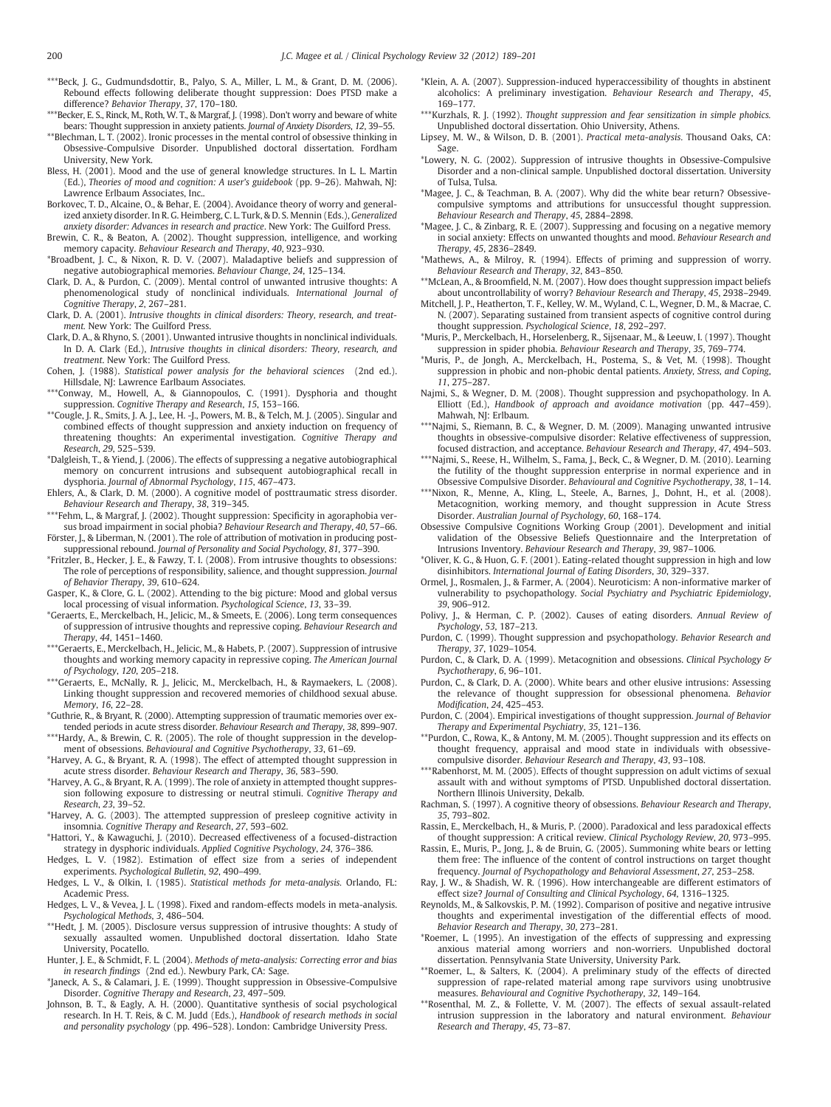<span id="page-11-0"></span>\*\*\*Beck, J. G., Gudmundsdottir, B., Palyo, S. A., Miller, L. M., & Grant, D. M. (2006). Rebound effects following deliberate thought suppression: Does PTSD make a difference? Behavior Therapy, 37, 170–180.

- \*\*\*Becker, E. S., Rinck, M., Roth, W. T., & Margraf, J. (1998). Don't worry and beware of white bears: Thought suppression in anxiety patients. Journal of Anxiety Disorders, 12, 39–55.
- \*\*Blechman, L. T. (2002). Ironic processes in the mental control of obsessive thinking in Obsessive-Compulsive Disorder. Unpublished doctoral dissertation. Fordham University, New York.
- Bless, H. (2001). Mood and the use of general knowledge structures. In L. L. Martin (Ed.), Theories of mood and cognition: A user's guidebook (pp. 9–26). Mahwah, NJ: Lawrence Erlbaum Associates, Inc..
- Borkovec, T. D., Alcaine, O., & Behar, E. (2004). Avoidance theory of worry and generalized anxiety disorder. In R. G. Heimberg, C. L. Turk, & D. S. Mennin (Eds.), Generalized anxiety disorder: Advances in research and practice. New York: The Guilford Press.
- Brewin, C. R., & Beaton, A. (2002). Thought suppression, intelligence, and working memory capacity. Behaviour Research and Therapy, 40, 923–930.
- \*Broadbent, J. C., & Nixon, R. D. V. (2007). Maladaptive beliefs and suppression of negative autobiographical memories. Behaviour Change, 24, 125–134.
- Clark, D. A., & Purdon, C. (2009). Mental control of unwanted intrusive thoughts: A phenomenological study of nonclinical individuals. International Journal of Cognitive Therapy, 2, 267–281.
- Clark, D. A. (2001). Intrusive thoughts in clinical disorders: Theory, research, and treatment. New York: The Guilford Press.
- Clark, D. A., & Rhyno, S. (2001). Unwanted intrusive thoughts in nonclinical individuals. In D. A. Clark (Ed.), Intrusive thoughts in clinical disorders: Theory, research, and treatment. New York: The Guilford Press.
- Cohen, J. (1988). Statistical power analysis for the behavioral sciences (2nd ed.). Hillsdale, NJ: Lawrence Earlbaum Associates.
- \*\*\*Conway, M., Howell, A., & Giannopoulos, C. (1991). Dysphoria and thought suppression. Cognitive Therapy and Research, 15, 153–166.
- \*\*Cougle, J. R., Smits, J. A. J., Lee, H. -J., Powers, M. B., & Telch, M. J. (2005). Singular and combined effects of thought suppression and anxiety induction on frequency of threatening thoughts: An experimental investigation. Cognitive Therapy and Research, 29, 525–539.
- \*Dalgleish, T., & Yiend, J. (2006). The effects of suppressing a negative autobiographical memory on concurrent intrusions and subsequent autobiographical recall in dysphoria. Journal of Abnormal Psychology, 115, 467–473.
- Ehlers, A., & Clark, D. M. (2000). A cognitive model of posttraumatic stress disorder. Behaviour Research and Therapy, 38, 319–345.
- \*\*\*Fehm, L., & Margraf, J. (2002). Thought suppression: Specificity in agoraphobia versus broad impairment in social phobia? Behaviour Research and Therapy, 40, 57–66.
- Förster, J., & Liberman, N. (2001). The role of attribution of motivation in producing postsuppressional rebound. Journal of Personality and Social Psychology, 81, 377-390.
- \*Fritzler, B., Hecker, J. E., & Fawzy, T. I. (2008). From intrusive thoughts to obsessions: The role of perceptions of responsibility, salience, and thought suppression. Journal of Behavior Therapy, 39, 610–624.
- Gasper, K., & Clore, G. L. (2002). Attending to the big picture: Mood and global versus local processing of visual information. Psychological Science, 13, 33–39.
- \*Geraerts, E., Merckelbach, H., Jelicic, M., & Smeets, E. (2006). Long term consequences of suppression of intrusive thoughts and repressive coping. Behaviour Research and Therapy, 44, 1451–1460.
- \*\*\*Geraerts, E., Merckelbach, H., Jelicic, M., & Habets, P. (2007). Suppression of intrusive thoughts and working memory capacity in repressive coping. The American Journal of Psychology, 120, 205–218.
- \*\*\*Geraerts, E., McNally, R. J., Jelicic, M., Merckelbach, H., & Raymaekers, L. (2008). Linking thought suppression and recovered memories of childhood sexual abuse. Memory, 16, 22–28.
- \*Guthrie, R., & Bryant, R. (2000). Attempting suppression of traumatic memories over extended periods in acute stress disorder. Behaviour Research and Therapy, 38, 899–907.
- \*\*\*Hardy, A., & Brewin, C. R. (2005). The role of thought suppression in the development of obsessions. Behavioural and Cognitive Psychotherapy, 33, 61–69.
- \*Harvey, A. G., & Bryant, R. A. (1998). The effect of attempted thought suppression in acute stress disorder. Behaviour Research and Therapy, 36, 583–590.
- \*Harvey, A. G., & Bryant, R. A. (1999). The role of anxiety in attempted thought suppression following exposure to distressing or neutral stimuli. Cognitive Therapy and Research, 23, 39–52.
- \*Harvey, A. G. (2003). The attempted suppression of presleep cognitive activity in insomnia. Cognitive Therapy and Research, 27, 593–602.
- \*Hattori, Y., & Kawaguchi, J. (2010). Decreased effectiveness of a focused-distraction strategy in dysphoric individuals. Applied Cognitive Psychology, 24, 376–386.
- Hedges, L. V. (1982). Estimation of effect size from a series of independent experiments. Psychological Bulletin, 92, 490–499.
- Hedges, L. V., & Olkin, I. (1985). Statistical methods for meta-analysis. Orlando, FL: Academic Press.
- Hedges, L. V., & Vevea, J. L. (1998). Fixed and random-effects models in meta-analysis. Psychological Methods, 3, 486–504.
- \*\*Hedt, J. M. (2005). Disclosure versus suppression of intrusive thoughts: A study of sexually assaulted women. Unpublished doctoral dissertation. Idaho State University, Pocatello.
- Hunter, J. E., & Schmidt, F. L. (2004). Methods of meta-analysis: Correcting error and bias in research findings (2nd ed.). Newbury Park, CA: Sage.
- \*Janeck, A. S., & Calamari, J. E. (1999). Thought suppression in Obsessive-Compulsive Disorder. Cognitive Therapy and Research, 23, 497–509.
- Johnson, B. T., & Eagly, A. H. (2000). Quantitative synthesis of social psychological research. In H. T. Reis, & C. M. Judd (Eds.), Handbook of research methods in social and personality psychology (pp. 496–528). London: Cambridge University Press.
- \*Klein, A. A. (2007). Suppression-induced hyperaccessibility of thoughts in abstinent alcoholics: A preliminary investigation. Behaviour Research and Therapy, 45, 169–177.
- \*\*\*Kurzhals, R. J. (1992). Thought suppression and fear sensitization in simple phobics. Unpublished doctoral dissertation. Ohio University, Athens.
- Lipsey, M. W., & Wilson, D. B. (2001). Practical meta-analysis. Thousand Oaks, CA: Sage.
- \*Lowery, N. G. (2002). Suppression of intrusive thoughts in Obsessive-Compulsive Disorder and a non-clinical sample. Unpublished doctoral dissertation. University of Tulsa, Tulsa.
- \*Magee, J. C., & Teachman, B. A. (2007). Why did the white bear return? Obsessivecompulsive symptoms and attributions for unsuccessful thought suppression.
- Behaviour Research and Therapy, 45, 2884–2898. \*Magee, J. C., & Zinbarg, R. E. (2007). Suppressing and focusing on a negative memory in social anxiety: Effects on unwanted thoughts and mood. Behaviour Research and Therapy, 45, 2836–2849.
- \*Mathews, A., & Milroy, R. (1994). Effects of priming and suppression of worry. Behaviour Research and Therapy, 32, 843–850.
- \*\*McLean, A., & Broomfield, N. M. (2007). How does thought suppression impact beliefs about uncontrollability of worry? Behaviour Research and Therapy, 45, 2938–2949.
- Mitchell, J. P., Heatherton, T. F., Kelley, W. M., Wyland, C. L., Wegner, D. M., & Macrae, C. N. (2007). Separating sustained from transient aspects of cognitive control during thought suppression. Psychological Science, 18, 292–297.
- \*Muris, P., Merckelbach, H., Horselenberg, R., Sijsenaar, M., & Leeuw, I. (1997). Thought suppression in spider phobia. Behaviour Research and Therapy, 35, 769–774.
- \*Muris, P., de Jongh, A., Merckelbach, H., Postema, S., & Vet, M. (1998). Thought suppression in phobic and non-phobic dental patients. Anxiety, Stress, and Coping, 11, 275–287.
- Najmi, S., & Wegner, D. M. (2008). Thought suppression and psychopathology. In A. Elliott (Ed.), Handbook of approach and avoidance motivation (pp. 447–459). Mahwah, NJ: Erlbaum.
- \*\*\*Najmi, S., Riemann, B. C., & Wegner, D. M. (2009). Managing unwanted intrusive thoughts in obsessive-compulsive disorder: Relative effectiveness of suppression, focused distraction, and acceptance. Behaviour Research and Therapy, 47, 494–503.
- \*\*\*Najmi, S., Reese, H., Wilhelm, S., Fama, J., Beck, C., & Wegner, D. M. (2010). Learning the futility of the thought suppression enterprise in normal experience and in Obsessive Compulsive Disorder. Behavioural and Cognitive Psychotherapy, 38, 1–14.
- \*\*\*Nixon, R., Menne, A., Kling, L., Steele, A., Barnes, J., Dohnt, H., et al. (2008). Metacognition, working memory, and thought suppression in Acute Stress Disorder. Australian Journal of Psychology, 60, 168–174.
- Obsessive Compulsive Cognitions Working Group (2001). Development and initial validation of the Obsessive Beliefs Questionnaire and the Interpretation of Intrusions Inventory. Behaviour Research and Therapy, 39, 987–1006.
- \*Oliver, K. G., & Huon, G. F. (2001). Eating-related thought suppression in high and low disinhibitors. International Journal of Eating Disorders, 30, 329–337.
- Ormel, J., Rosmalen, J., & Farmer, A. (2004). Neuroticism: A non-informative marker of vulnerability to psychopathology. Social Psychiatry and Psychiatric Epidemiology, 39, 906–912.
- Polivy, J., & Herman, C. P. (2002). Causes of eating disorders. Annual Review of Psychology, 53, 187–213.
- Purdon, C. (1999). Thought suppression and psychopathology. Behavior Research and Therapy, 37, 1029–1054.
- Purdon, C., & Clark, D. A. (1999). Metacognition and obsessions. Clinical Psychology & Psychotherapy, 6, 96–101.
- Purdon, C., & Clark, D. A. (2000). White bears and other elusive intrusions: Assessing the relevance of thought suppression for obsessional phenomena. Behavior Modification, 24, 425–453.
- Purdon, C. (2004). Empirical investigations of thought suppression. Journal of Behavior Therapy and Experimental Psychiatry, 35, 121–136.
- \*\*Purdon, C., Rowa, K., & Antony, M. M. (2005). Thought suppression and its effects on thought frequency, appraisal and mood state in individuals with obsessivecompulsive disorder. Behaviour Research and Therapy, 43, 93–108.
- \*\*\*Rabenhorst, M. M. (2005). Effects of thought suppression on adult victims of sexual assault with and without symptoms of PTSD. Unpublished doctoral dissertation. Northern Illinois University, Dekalb.
- Rachman, S. (1997). A cognitive theory of obsessions. Behaviour Research and Therapy, 35, 793–802.
- Rassin, E., Merckelbach, H., & Muris, P. (2000). Paradoxical and less paradoxical effects of thought suppression: A critical review. Clinical Psychology Review, 20, 973–995.
- Rassin, E., Muris, P., Jong, J., & de Bruin, G. (2005). Summoning white bears or letting them free: The influence of the content of control instructions on target thought frequency. Journal of Psychopathology and Behavioral Assessment, 27, 253–258.
- Ray, J. W., & Shadish, W. R. (1996). How interchangeable are different estimators of effect size? Journal of Consulting and Clinical Psychology, 64, 1316–1325.
- Reynolds, M., & Salkovskis, P. M. (1992). Comparison of positive and negative intrusive thoughts and experimental investigation of the differential effects of mood. Behavior Research and Therapy, 30, 273–281.
- \*Roemer, L. (1995). An investigation of the effects of suppressing and expressing anxious material among worriers and non-worriers. Unpublished doctoral dissertation. Pennsylvania State University, University Park.
- \*\*Roemer, L., & Salters, K. (2004). A preliminary study of the effects of directed suppression of rape-related material among rape survivors using unobtrusive measures. Behavioural and Cognitive Psychotherapy, 32, 149–164.
- \*\*Rosenthal, M. Z., & Follette, V. M. (2007). The effects of sexual assault-related intrusion suppression in the laboratory and natural environment. Behaviour Research and Therapy, 45, 73–87.